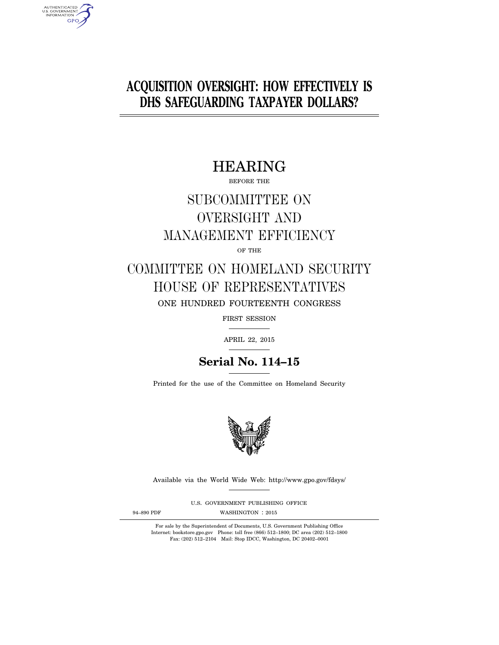# **ACQUISITION OVERSIGHT: HOW EFFECTIVELY IS DHS SAFEGUARDING TAXPAYER DOLLARS?**

# HEARING

BEFORE THE

# SUBCOMMITTEE ON OVERSIGHT AND MANAGEMENT EFFICIENCY

OF THE

# COMMITTEE ON HOMELAND SECURITY HOUSE OF REPRESENTATIVES ONE HUNDRED FOURTEENTH CONGRESS

FIRST SESSION

APRIL 22, 2015

# **Serial No. 114–15**

Printed for the use of the Committee on Homeland Security



Available via the World Wide Web: http://www.gpo.gov/fdsys/

U.S. GOVERNMENT PUBLISHING OFFICE

AUTHENTICATED<br>U.S. GOVERNMENT<br>INFORMATION GPO

94-890 PDF WASHINGTON : 2015

For sale by the Superintendent of Documents, U.S. Government Publishing Office Internet: bookstore.gpo.gov Phone: toll free (866) 512–1800; DC area (202) 512–1800 Fax: (202) 512–2104 Mail: Stop IDCC, Washington, DC 20402–0001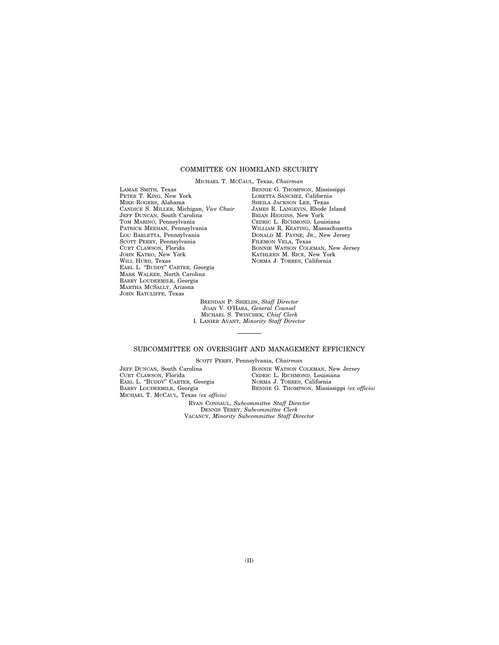# COMMITTEE ON HOMELAND SECURITY

MICHAEL T. MCCAUL, Texas, *Chairman* 

LAMAR SMITH, Texas PETER T. KING, New York MIKE ROGERS, Alabama CANDICE S. MILLER, Michigan, *Vice Chair*  JEFF DUNCAN, South Carolina TOM MARINO, Pennsylvania PATRICK MEEHAN, Pennsylvania LOU BARLETTA, Pennsylvania SCOTT PERRY, Pennsylvania CURT CLAWSON, Florida JOHN KATKO, New York WILL HURD, Texas EARL L. ''BUDDY'' CARTER, Georgia MARK WALKER, North Carolina BARRY LOUDERMILK, Georgia MARTHA MCSALLY, Arizona JOHN RATCLIFFE, Texas

BENNIE G. THOMPSON, Mississippi LORETTA SANCHEZ, California SHEILA JACKSON LEE, Texas JAMES R. LANGEVIN, Rhode Island BRIAN HIGGINS, New York CEDRIC L. RICHMOND, Louisiana WILLIAM R. KEATING, Massachusetts DONALD M. PAYNE, JR., New Jersey FILEMON VELA, Texas BONNIE WATSON COLEMAN, New Jersey KATHLEEN M. RICE, New York NORMA J. TORRES, California

BRENDAN P. SHIELDS, *Staff Director*  JOAN V. O'HARA, *General Counsel*  MICHAEL S. TWINCHEK, *Chief Clerk*  I. LANIER AVANT, *Minority Staff Director* 

## SUBCOMMITTEE ON OVERSIGHT AND MANAGEMENT EFFICIENCY

SCOTT PERRY, Pennsylvania, *Chairman* 

JEFF DUNCAN, South Carolina CURT CLAWSON, Florida EARL L. ''BUDDY'' CARTER, Georgia BARRY LOUDERMILK, Georgia MICHAEL T. MCCAUL, Texas *(ex officio)*  BONNIE WATSON COLEMAN, New Jersey CEDRIC L. RICHMOND, Louisiana NORMA J. TORRES, California BENNIE G. THOMPSON, Mississippi *(ex officio)* 

RYAN CONSAUL, *Subcommittee Staff Director*  DENNIS TERRY, *Subcommittee Clerk*  VACANCY, *Minority Subcommittee Staff Director*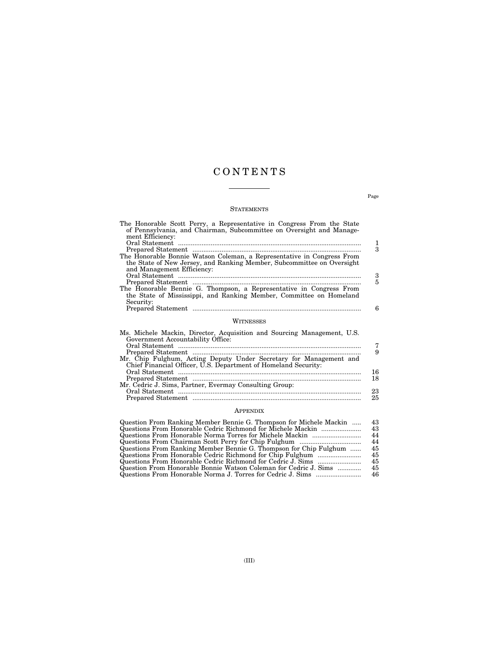# C O N T E N T S

# **STATEMENTS**

| The Honorable Scott Perry, a Representative in Congress From the State<br>of Pennsylvania, and Chairman, Subcommittee on Oversight and Manage-<br>ment Efficiency: |    |
|--------------------------------------------------------------------------------------------------------------------------------------------------------------------|----|
|                                                                                                                                                                    | 1  |
|                                                                                                                                                                    | 3  |
| The Honorable Bonnie Watson Coleman, a Representative in Congress From<br>the State of New Jersey, and Ranking Member, Subcommittee on Oversight                   |    |
| and Management Efficiency:                                                                                                                                         |    |
|                                                                                                                                                                    | 3  |
|                                                                                                                                                                    | 5  |
| The Honorable Bennie G. Thompson, a Representative in Congress From<br>the State of Mississippi, and Ranking Member, Committee on Homeland                         |    |
| Security:                                                                                                                                                          |    |
|                                                                                                                                                                    | 6  |
| WITNESSES                                                                                                                                                          |    |
| Ms. Michele Mackin, Director, Acquisition and Sourcing Management, U.S.<br>Government Accountability Office:                                                       |    |
|                                                                                                                                                                    | 7  |
| Prepared Statement                                                                                                                                                 | 9  |
| Mr. Chip Fulghum, Acting Deputy Under Secretary for Management and<br>Chief Financial Officer, U.S. Department of Homeland Security:                               |    |
|                                                                                                                                                                    | 16 |
|                                                                                                                                                                    | 18 |
| Mr. Cedric J. Sims, Partner, Evermay Consulting Group:                                                                                                             |    |
|                                                                                                                                                                    | 23 |

# Prepared Statement ............................................................................................. 25 APPENDIX

| Question From Ranking Member Bennie G. Thompson for Michele Mackin | 43  |
|--------------------------------------------------------------------|-----|
| Questions From Honorable Cedric Richmond for Michele Mackin        | 43. |
|                                                                    | 44  |
|                                                                    | 44  |
| Questions From Ranking Member Bennie G. Thompson for Chip Fulghum  | 45  |
|                                                                    | 45  |
|                                                                    | 45  |
| Question From Honorable Bonnie Watson Coleman for Cedric J. Sims   | 45  |
|                                                                    | 46  |

Page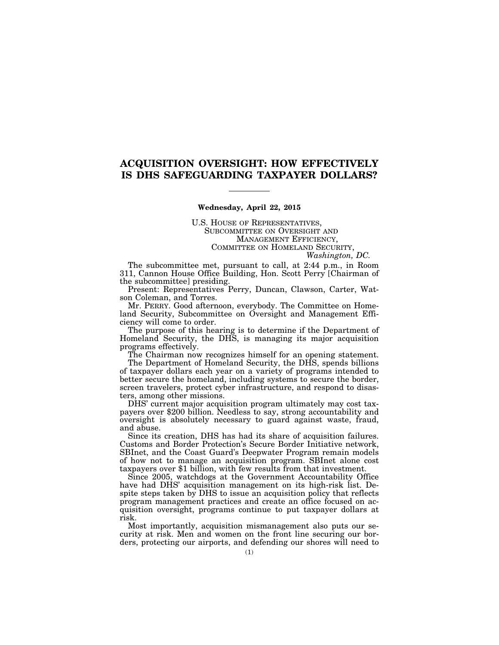# **ACQUISITION OVERSIGHT: HOW EFFECTIVELY IS DHS SAFEGUARDING TAXPAYER DOLLARS?**

#### **Wednesday, April 22, 2015**

U.S. HOUSE OF REPRESENTATIVES, SUBCOMMITTEE ON OVERSIGHT AND MANAGEMENT EFFICIENCY, COMMITTEE ON HOMELAND SECURITY, *Washington, DC.* 

The subcommittee met, pursuant to call, at 2:44 p.m., in Room 311, Cannon House Office Building, Hon. Scott Perry [Chairman of the subcommittee] presiding.

Present: Representatives Perry, Duncan, Clawson, Carter, Watson Coleman, and Torres.

Mr. PERRY. Good afternoon, everybody. The Committee on Homeland Security, Subcommittee on Oversight and Management Efficiency will come to order.

The purpose of this hearing is to determine if the Department of Homeland Security, the DHS, is managing its major acquisition programs effectively.

The Chairman now recognizes himself for an opening statement.

The Department of Homeland Security, the DHS, spends billions of taxpayer dollars each year on a variety of programs intended to better secure the homeland, including systems to secure the border, screen travelers, protect cyber infrastructure, and respond to disasters, among other missions.<br>DHS' current major acquisition program ultimately may cost tax-

payers over \$200 billion. Needless to say, strong accountability and oversight is absolutely necessary to guard against waste, fraud, and abuse.

Since its creation, DHS has had its share of acquisition failures. Customs and Border Protection's Secure Border Initiative network, SBInet, and the Coast Guard's Deepwater Program remain models of how not to manage an acquisition program. SBInet alone cost taxpayers over \$1 billion, with few results from that investment.

Since 2005, watchdogs at the Government Accountability Office have had DHS' acquisition management on its high-risk list. Despite steps taken by DHS to issue an acquisition policy that reflects program management practices and create an office focused on acquisition oversight, programs continue to put taxpayer dollars at risk.

Most importantly, acquisition mismanagement also puts our security at risk. Men and women on the front line securing our borders, protecting our airports, and defending our shores will need to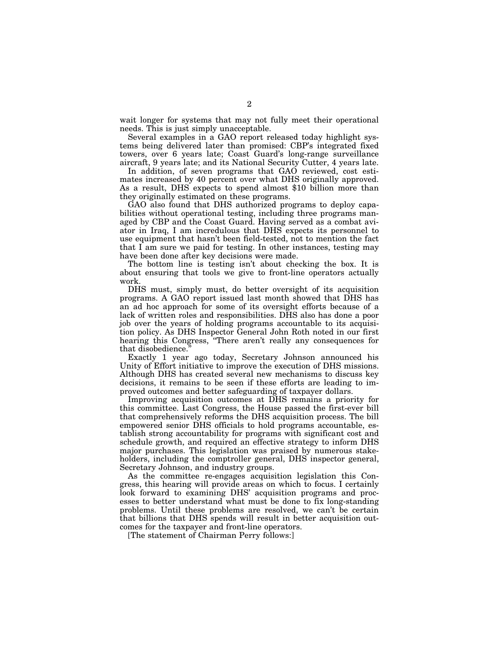wait longer for systems that may not fully meet their operational needs. This is just simply unacceptable.

Several examples in a GAO report released today highlight systems being delivered later than promised: CBP's integrated fixed towers, over 6 years late; Coast Guard's long-range surveillance aircraft, 9 years late; and its National Security Cutter, 4 years late.

In addition, of seven programs that GAO reviewed, cost estimates increased by 40 percent over what DHS originally approved. As a result, DHS expects to spend almost \$10 billion more than they originally estimated on these programs.

GAO also found that DHS authorized programs to deploy capabilities without operational testing, including three programs managed by CBP and the Coast Guard. Having served as a combat aviator in Iraq, I am incredulous that DHS expects its personnel to use equipment that hasn't been field-tested, not to mention the fact that  $\overline{I}$  am sure we paid for testing. In other instances, testing may have been done after key decisions were made.

The bottom line is testing isn't about checking the box. It is about ensuring that tools we give to front-line operators actually work.

DHS must, simply must, do better oversight of its acquisition programs. A GAO report issued last month showed that DHS has an ad hoc approach for some of its oversight efforts because of a lack of written roles and responsibilities. DHS also has done a poor job over the years of holding programs accountable to its acquisition policy. As DHS Inspector General John Roth noted in our first hearing this Congress, "There aren't really any consequences for that disobedience.''

Exactly 1 year ago today, Secretary Johnson announced his Unity of Effort initiative to improve the execution of DHS missions. Although DHS has created several new mechanisms to discuss key decisions, it remains to be seen if these efforts are leading to improved outcomes and better safeguarding of taxpayer dollars.

Improving acquisition outcomes at DHS remains a priority for this committee. Last Congress, the House passed the first-ever bill that comprehensively reforms the DHS acquisition process. The bill empowered senior DHS officials to hold programs accountable, establish strong accountability for programs with significant cost and schedule growth, and required an effective strategy to inform DHS major purchases. This legislation was praised by numerous stakeholders, including the comptroller general, DHS inspector general, Secretary Johnson, and industry groups.

As the committee re-engages acquisition legislation this Congress, this hearing will provide areas on which to focus. I certainly look forward to examining DHS' acquisition programs and processes to better understand what must be done to fix long-standing problems. Until these problems are resolved, we can't be certain that billions that DHS spends will result in better acquisition outcomes for the taxpayer and front-line operators.

[The statement of Chairman Perry follows:]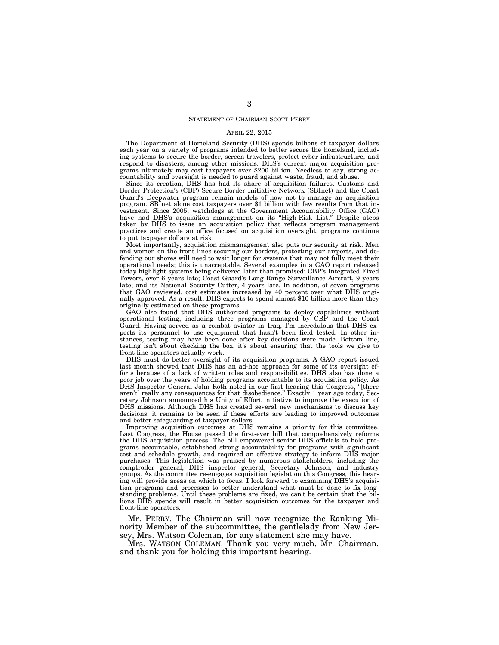### STATEMENT OF CHAIRMAN SCOTT PERRY

#### APRIL 22, 2015

The Department of Homeland Security (DHS) spends billions of taxpayer dollars each year on a variety of programs intended to better secure the homeland, including systems to secure the border, screen travelers, protect cyber infrastructure, and respond to disasters, among other missions. DHS's current major acquisition programs ultimately may cost taxpayers over \$200 billion. Needless to say, strong accountability and oversight is needed to guard against waste, fraud, and abuse.

Since its creation, DHS has had its share of acquisition failures. Customs and Border Protection's (CBP) Secure Border Initiative Network (SBInet) and the Coast Guard's Deepwater program remain models of how not to manage an acquisition program. SBInet alone cost taxpayers over \$1 billion with few results from that investment. Since 2005, watchdogs at the Government Accountability Office (GAO) have had DHS's acquisition management on its ''High-Risk List.'' Despite steps taken by DHS to issue an acquisition policy that reflects program management practices and create an office focused on acquisition oversight, programs continue to put taxpayer dollars at risk.

Most importantly, acquisition mismanagement also puts our security at risk. Men and women on the front lines securing our borders, protecting our airports, and defending our shores will need to wait longer for systems that may not fully meet their operational needs; this is unacceptable. Several examples in a GAO report released today highlight systems being delivered later than promised: CBP's Integrated Fixed Towers, over 6 years late; Coast Guard's Long Range Surveillance Aircraft, 9 years late; and its National Security Cutter, 4 years late. In addition, of seven programs that GAO reviewed, cost estimates increased by 40 percent over what DHS originally approved. As a result, DHS expects to spend almost \$10 billion more than they originally estimated on these programs.

GAO also found that DHS authorized programs to deploy capabilities without operational testing, including three programs managed by CBP and the Coast Guard. Having served as a combat aviator in Iraq, I'm incredulous that DHS expects its personnel to use equipment that hasn't been field tested. In other instances, testing may have been done after key decisions were made. Bottom line, testing isn't about checking the box, it's about ensuring that the tools we give to front-line operators actually work.

DHS must do better oversight of its acquisition programs. A GAO report issued last month showed that DHS has an ad-hoc approach for some of its oversight efforts because of a lack of written roles and responsibilities. DHS also has done a poor job over the years of holding programs accountable to its acquisition policy. As DHS Inspector General John Roth noted in our first hearing this Congress, ''[there aren't] really any consequences for that disobedience.'' Exactly 1 year ago today, Secretary Johnson announced his Unity of Effort initiative to improve the execution of DHS missions. Although DHS has created several new mechanisms to discuss key decisions, it remains to be seen if these efforts are leading to improved outcomes and better safeguarding of taxpayer dollars.

Improving acquisition outcomes at DHS remains a priority for this committee. Last Congress, the House passed the first-ever bill that comprehensively reforms the DHS acquisition process. The bill empowered senior DHS officials to hold programs accountable, established strong accountability for programs with significant cost and schedule growth, and required an effective strategy to inform DHS major purchases. This legislation was praised by numerous stakeholders, including the comptroller general, DHS inspector general, Secretary Johnson, and industry groups. As the committee re-engages acquisition legislation this Congress, this hearing will provide areas on which to focus. I look forward to examining DHS's acquisition programs and processes to better understand what must be done to fix longstanding problems. Until these problems are fixed, we can't be certain that the billions DHS spends will result in better acquisition outcomes for the taxpayer and front-line operators.

Mr. PERRY. The Chairman will now recognize the Ranking Minority Member of the subcommittee, the gentlelady from New Jersey, Mrs. Watson Coleman, for any statement she may have.

Mrs. WATSON COLEMAN. Thank you very much, Mr. Chairman, and thank you for holding this important hearing.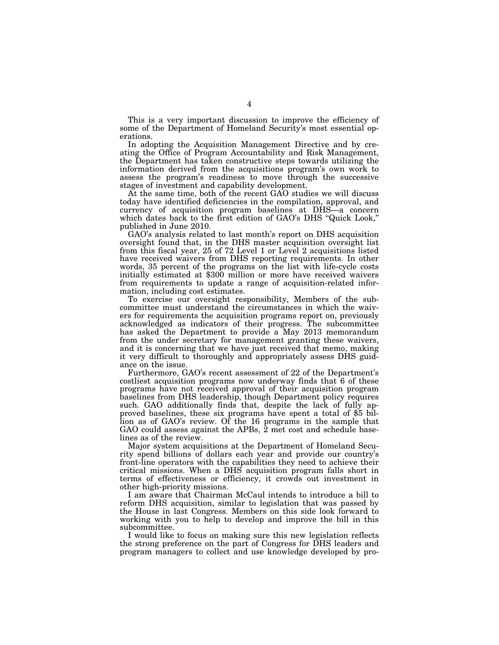This is a very important discussion to improve the efficiency of some of the Department of Homeland Security's most essential operations.

In adopting the Acquisition Management Directive and by creating the Office of Program Accountability and Risk Management, the Department has taken constructive steps towards utilizing the information derived from the acquisitions program's own work to assess the program's readiness to move through the successive stages of investment and capability development.

At the same time, both of the recent GAO studies we will discuss today have identified deficiencies in the compilation, approval, and currency of acquisition program baselines at DHS—a concern which dates back to the first edition of GAO's DHS ''Quick Look,'' published in June 2010.

GAO's analysis related to last month's report on DHS acquisition oversight found that, in the DHS master acquisition oversight list from this fiscal year, 25 of 72 Level 1 or Level 2 acquisitions listed have received waivers from DHS reporting requirements. In other words, 35 percent of the programs on the list with life-cycle costs initially estimated at \$300 million or more have received waivers from requirements to update a range of acquisition-related information, including cost estimates.

To exercise our oversight responsibility, Members of the subcommittee must understand the circumstances in which the waivers for requirements the acquisition programs report on, previously acknowledged as indicators of their progress. The subcommittee has asked the Department to provide a May 2013 memorandum from the under secretary for management granting these waivers, and it is concerning that we have just received that memo, making it very difficult to thoroughly and appropriately assess DHS guidance on the issue.

Furthermore, GAO's recent assessment of 22 of the Department's costliest acquisition programs now underway finds that 6 of these programs have not received approval of their acquisition program baselines from DHS leadership, though Department policy requires such. GAO additionally finds that, despite the lack of fully approved baselines, these six programs have spent a total of \$5 billion as of GAO's review. Of the 16 programs in the sample that GAO could assess against the APBs, 2 met cost and schedule baselines as of the review.

Major system acquisitions at the Department of Homeland Security spend billions of dollars each year and provide our country's front-line operators with the capabilities they need to achieve their critical missions. When a DHS acquisition program falls short in terms of effectiveness or efficiency, it crowds out investment in other high-priority missions.

I am aware that Chairman McCaul intends to introduce a bill to reform DHS acquisition, similar to legislation that was passed by the House in last Congress. Members on this side look forward to working with you to help to develop and improve the bill in this subcommittee.

I would like to focus on making sure this new legislation reflects the strong preference on the part of Congress for DHS leaders and program managers to collect and use knowledge developed by pro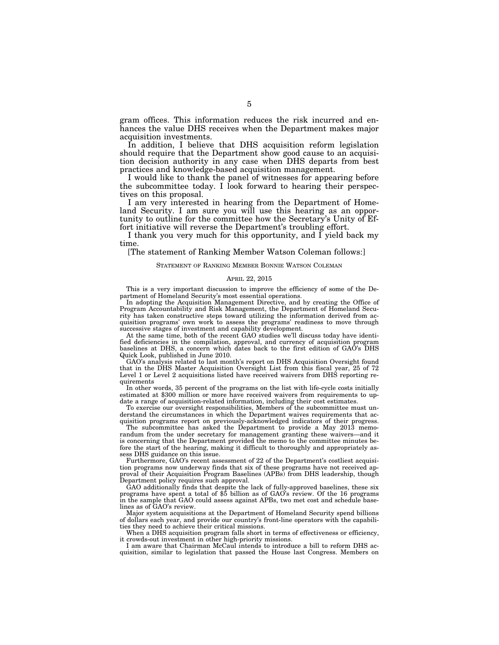gram offices. This information reduces the risk incurred and enhances the value DHS receives when the Department makes major acquisition investments.

In addition, I believe that DHS acquisition reform legislation should require that the Department show good cause to an acquisition decision authority in any case when DHS departs from best practices and knowledge-based acquisition management.

I would like to thank the panel of witnesses for appearing before the subcommittee today. I look forward to hearing their perspectives on this proposal.

I am very interested in hearing from the Department of Homeland Security. I am sure you will use this hearing as an opportunity to outline for the committee how the Secretary's Unity of Effort initiative will reverse the Department's troubling effort.

I thank you very much for this opportunity, and I yield back my time.

[The statement of Ranking Member Watson Coleman follows:]

#### STATEMENT OF RANKING MEMBER BONNIE WATSON COLEMAN

#### APRIL 22, 2015

This is a very important discussion to improve the efficiency of some of the Department of Homeland Security's most essential operations.

In adopting the Acquisition Management Directive, and by creating the Office of Program Accountability and Risk Management, the Department of Homeland Security has taken constructive steps toward utilizing the information derived from acquisition programs' own work to assess the programs' readiness to move through successive stages of investment and capability development.

At the same time, both of the recent GAO studies we'll discuss today have identified deficiencies in the compilation, approval, and currency of acquisition program baselines at DHS, a concern which dates back to the first edition of GAO's DHS Quick Look, published in June 2010.

GAO's analysis related to last month's report on DHS Acquisition Oversight found that in the DHS Master Acquisition Oversight List from this fiscal year, 25 of 72 Level 1 or Level 2 acquisitions listed have received waivers from DHS reporting requirements

In other words, 35 percent of the programs on the list with life-cycle costs initially estimated at \$300 million or more have received waivers from requirements to update a range of acquisition-related information, including their cost estimates.

To exercise our oversight responsibilities, Members of the subcommittee must understand the circumstances in which the Department waives requirements that acquisition programs report on previously-acknowledged indicators of their progress.

The subcommittee has asked the Department to provide a May 2013 memorandum from the under secretary for management granting these waivers—and it is concerning that the Department provided the memo to the committee minutes before the start of the hearing, making it difficult to thoroughly and appropriately assess DHS guidance on this issue.

Furthermore, GAO's recent assessment of 22 of the Department's costliest acquisition programs now underway finds that six of these programs have not received approval of their Acquisition Program Baselines (APBs) from DHS leadership, though Department policy requires such approval.

GAO additionally finds that despite the lack of fully-approved baselines, these six programs have spent a total of \$5 billion as of GAO's review. Of the 16 programs in the sample that GAO could assess against APBs, two met cost and schedule baselines as of GAO's review.

Major system acquisitions at the Department of Homeland Security spend billions of dollars each year, and provide our country's front-line operators with the capabilities they need to achieve their critical missions.

When a DHS acquisition program falls short in terms of effectiveness or efficiency, it crowds-out investment in other high-priority missions.

I am aware that Chairman McCaul intends to introduce a bill to reform DHS acquisition, similar to legislation that passed the House last Congress. Members on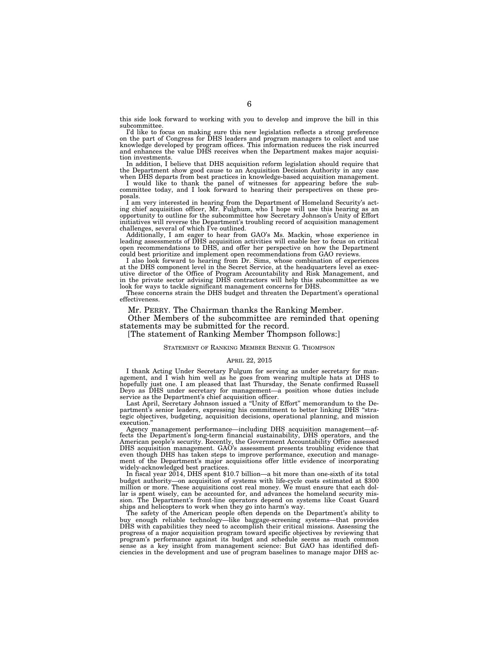this side look forward to working with you to develop and improve the bill in this subcommittee.

I'd like to focus on making sure this new legislation reflects a strong preference<br>on the part of Congress for DHS leaders and program managers to collect and use<br>knowledge developed by program offices. This information re tion investments.

In addition, I believe that DHS acquisition reform legislation should require that the Department show good cause to an Acquisition Decision Authority in any case when DHS departs from best practices in knowledge-based acquisition management.

I would like to thank the panel of witnesses for appearing before the subcommittee today, and I look forward to hearing their perspectives on these proposals.

I am very interested in hearing from the Department of Homeland Security's act-ing chief acquisition officer, Mr. Fulghum, who I hope will use this hearing as an opportunity to outline for the subcommittee how Secretary Johnson's Unity of Effort initiatives will reverse the Department's troubling record of acquisition management challenges, several of which I've outlined.

Additionally, I am eager to hear from GAO's Ms. Mackin, whose experience in leading assessments of DHS acquisition activities will enable her to focus on critical open recommendations to DHS, and offer her perspective on how the Department

could best prioritize and implement open recommendations from GAO reviews. I also look forward to hearing from Dr. Sims, whose combination of experiences at the DHS component level in the Secret Service, at the headquarters level as exec-utive director of the Office of Program Accountability and Risk Management, and in the private sector advising DHS contractors will help this subcommittee as we

look for ways to tackle significant management concerns for DHS. These concerns strain the DHS budget and threaten the Department's operational effectiveness.

Mr. PERRY. The Chairman thanks the Ranking Member.

Other Members of the subcommittee are reminded that opening statements may be submitted for the record.

[The statement of Ranking Member Thompson follows:]

#### STATEMENT OF RANKING MEMBER BENNIE G. THOMPSON

#### APRIL 22, 2015

I thank Acting Under Secretary Fulgum for serving as under secretary for management, and I wish him well as he goes from wearing multiple hats at DHS to hopefully just one. I am pleased that last Thursday, the Senate confirmed Russell Deyo as DHS under secretary for management—a position whose duties include service as the Department's chief acquisition officer.

Last April, Secretary Johnson issued a ''Unity of Effort'' memorandum to the Department's senior leaders, expressing his commitment to better linking DHS ''strategic objectives, budgeting, acquisition decisions, operational planning, and mission execution.'

Agency management performance—including DHS acquisition management—affects the Department's long-term financial sustainability, DHS operators, and the American people's security. Recently, the Government Accountability Office assessed DHS acquisition management. GAO's assessment presents troubling evidence that even though DHS has taken steps to improve performance, execution and management of the Department's major acquisitions offer little evidence of incorporating widely-acknowledged best practices.

In fiscal year 2014, DHS spent \$10.7 billion—a bit more than one-sixth of its total budget authority—on acquisition of systems with life-cycle costs estimated at \$300 million or more. These acquisitions cost real money. We must ensure that each dollar is spent wisely, can be accounted for, and advances the homeland security mission. The Department's front-line operators depend on systems like Coast Guard ships and helicopters to work when they go into harm's way.

The safety of the American people often depends on the Department's ability to buy enough reliable technology—like baggage-screening systems—that provides DHS with capabilities they need to accomplish their critical missions. Assessing the progress of a major acquisition program toward specific objectives by reviewing that program's performance against its budget and schedule seems as much common sense as a key insight from management science: But GAO has identified deficiencies in the development and use of program baselines to manage major DHS ac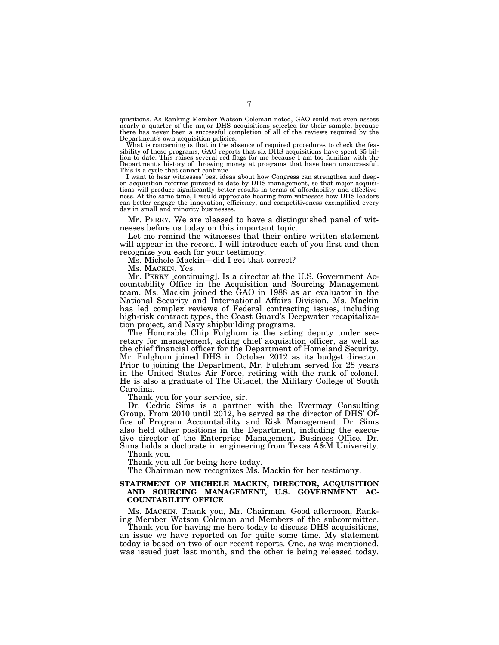quisitions. As Ranking Member Watson Coleman noted, GAO could not even assess nearly a quarter of the major DHS acquisitions selected for their sample, because there has never been a successful completion of all of the reviews required by the

Department's own acquisition policies.<br>What is concerning is that in the absence of required procedures to check the feasibility of these programs, GAO reports that six DHS acquisitions have spent \$5 billion to date. This raises several red flags for me because I am too familiar with the Department's history of throwing money at programs that have been unsuccessful. This is a cycle that cannot continue.

I want to hear witnesses' best ideas about how Congress can strengthen and deepen acquisition reforms pursued to date by DHS management, so that major acquisitions will produce significantly better results in terms of affordability and effective-ness. At the same time, I would appreciate hearing from witnesses how DHS leaders can better engage the innovation, efficiency, and competitiveness exemplified every day in small and minority businesses.

Mr. PERRY. We are pleased to have a distinguished panel of witnesses before us today on this important topic.

Let me remind the witnesses that their entire written statement will appear in the record. I will introduce each of you first and then recognize you each for your testimony.

Ms. Michele Mackin—did I get that correct?

Ms. MACKIN. Yes.

Mr. PERRY [continuing]. Is a director at the U.S. Government Accountability Office in the Acquisition and Sourcing Management team. Ms. Mackin joined the GAO in 1988 as an evaluator in the National Security and International Affairs Division. Ms. Mackin has led complex reviews of Federal contracting issues, including high-risk contract types, the Coast Guard's Deepwater recapitalization project, and Navy shipbuilding programs.

The Honorable Chip Fulghum is the acting deputy under secretary for management, acting chief acquisition officer, as well as the chief financial officer for the Department of Homeland Security. Mr. Fulghum joined DHS in October 2012 as its budget director. Prior to joining the Department, Mr. Fulghum served for 28 years in the United States Air Force, retiring with the rank of colonel. He is also a graduate of The Citadel, the Military College of South Carolina.

Thank you for your service, sir.

Dr. Cedric Sims is a partner with the Evermay Consulting Group. From 2010 until 2012, he served as the director of DHS' Office of Program Accountability and Risk Management. Dr. Sims also held other positions in the Department, including the executive director of the Enterprise Management Business Office. Dr. Sims holds a doctorate in engineering from Texas A&M University.

Thank you.

Thank you all for being here today.

The Chairman now recognizes Ms. Mackin for her testimony.

### **STATEMENT OF MICHELE MACKIN, DIRECTOR, ACQUISITION AND SOURCING MANAGEMENT, U.S. GOVERNMENT AC-COUNTABILITY OFFICE**

Ms. MACKIN. Thank you, Mr. Chairman. Good afternoon, Ranking Member Watson Coleman and Members of the subcommittee.

Thank you for having me here today to discuss DHS acquisitions, an issue we have reported on for quite some time. My statement today is based on two of our recent reports. One, as was mentioned, was issued just last month, and the other is being released today.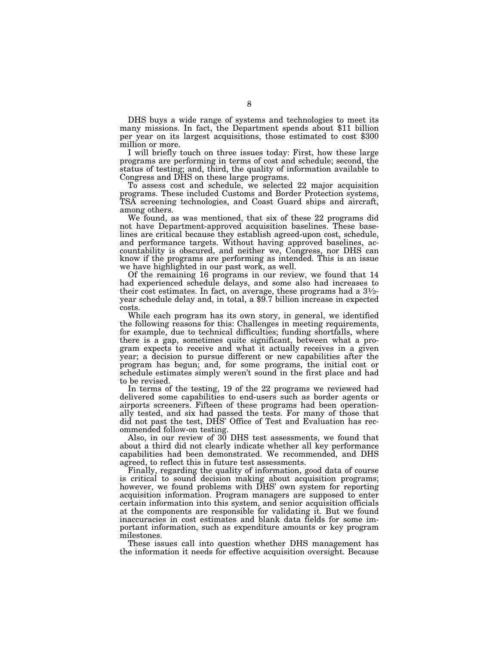DHS buys a wide range of systems and technologies to meet its many missions. In fact, the Department spends about \$11 billion per year on its largest acquisitions, those estimated to cost \$300 million or more.

I will briefly touch on three issues today: First, how these large programs are performing in terms of cost and schedule; second, the status of testing; and, third, the quality of information available to Congress and DHS on these large programs.

To assess cost and schedule, we selected 22 major acquisition programs. These included Customs and Border Protection systems, TSA screening technologies, and Coast Guard ships and aircraft, among others.

We found, as was mentioned, that six of these 22 programs did not have Department-approved acquisition baselines. These baselines are critical because they establish agreed-upon cost, schedule, and performance targets. Without having approved baselines, accountability is obscured, and neither we, Congress, nor DHS can know if the programs are performing as intended. This is an issue we have highlighted in our past work, as well.

Of the remaining 16 programs in our review, we found that 14 had experienced schedule delays, and some also had increases to their cost estimates. In fact, on average, these programs had a 31⁄2- year schedule delay and, in total, a \$9.7 billion increase in expected costs.

While each program has its own story, in general, we identified the following reasons for this: Challenges in meeting requirements, for example, due to technical difficulties; funding shortfalls, where there is a gap, sometimes quite significant, between what a program expects to receive and what it actually receives in a given year; a decision to pursue different or new capabilities after the program has begun; and, for some programs, the initial cost or schedule estimates simply weren't sound in the first place and had to be revised.

In terms of the testing, 19 of the 22 programs we reviewed had delivered some capabilities to end-users such as border agents or airports screeners. Fifteen of these programs had been operationally tested, and six had passed the tests. For many of those that did not past the test, DHS' Office of Test and Evaluation has recommended follow-on testing.

Also, in our review of 30 DHS test assessments, we found that about a third did not clearly indicate whether all key performance capabilities had been demonstrated. We recommended, and DHS agreed, to reflect this in future test assessments.

Finally, regarding the quality of information, good data of course is critical to sound decision making about acquisition programs; however, we found problems with DHS' own system for reporting acquisition information. Program managers are supposed to enter certain information into this system, and senior acquisition officials at the components are responsible for validating it. But we found inaccuracies in cost estimates and blank data fields for some important information, such as expenditure amounts or key program milestones.

These issues call into question whether DHS management has the information it needs for effective acquisition oversight. Because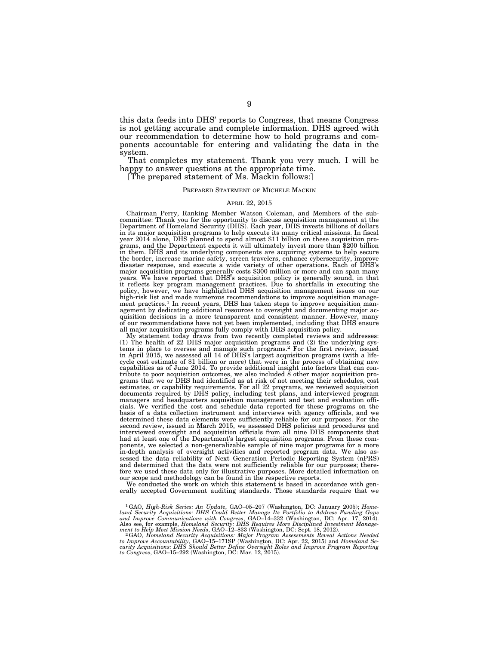this data feeds into DHS' reports to Congress, that means Congress is not getting accurate and complete information. DHS agreed with our recommendation to determine how to hold programs and components accountable for entering and validating the data in the system.

That completes my statement. Thank you very much. I will be happy to answer questions at the appropriate time.

[The prepared statement of Ms. Mackin follows:]

### PREPARED STATEMENT OF MICHELE MACKIN

### APRIL 22, 2015

Chairman Perry, Ranking Member Watson Coleman, and Members of the subcommittee: Thank you for the opportunity to discuss acquisition management at the Department of Homeland Security (DHS). Each year, DHS invests billions of dollars in its major acquisition programs to help execute its many critical missions. In fiscal year 2014 alone, DHS planned to spend almost \$11 billion on these acquisition programs, and the Department expects it will ultimately invest more than \$200 billion in them. DHS and its underlying components are acquiring systems to help secure the border, increase marine safety, screen travelers, enhance cybersecurity, improve disaster response, and execute a wide variety of other operations. Each of DHS's major acquisition programs generally costs \$300 million or more and can span many years. We have reported that DHS's acquisition policy is ge ment practices.<sup>1</sup> In recent years, DHS has taken steps to improve acquisition management by dedicating additional resources to oversight and documenting major acquisition decisions in a more transparent and consistent manner. However, many of our recommendations have not yet been implemented, including that DHS ensure all major acquisition programs fully comply with DHS acquisition policy.

My statement today draws from two recently completed reviews and addresses: (1) The health of 22 DHS major acquisition programs and (2) the underlying systems in place to oversee and manage such programs.2 For the first review, issued in April 2015, we assessed all 14 of DHS's largest acquisition programs (with a lifecycle cost estimate of \$1 billion or more) that were in the process of obtaining new capabilities as of June 2014. To provide additional insight into factors that can contribute to poor acquisition outcomes, we also included 8 other major acquisition pro-grams that we or DHS had identified as at risk of not meeting their schedules, cost estimates, or capability requirements. For all 22 programs, we reviewed acquisition documents required by DHS policy, including test plans, and interviewed program managers and headquarters acquisition management and test and evaluation officials. We verified the cost and schedule data reported for these programs on the basis of a data collection instrument and interviews with agency officials, and we determined these data elements were sufficiently reliable for our purposes. For the second review, issued in March 2015, we assessed DHS policies and procedures and interviewed oversight and acquisition officials from all nine DHS components that had at least one of the Department's largest acquisition programs. From these components, we selected a non-generalizable sample of nine major programs for a more in-depth analysis of oversight activities and reported program data. We also assessed the data reliability of Next Generation Periodic Reporting System (nPRS) and determined that the data were not sufficiently reliable for our purposes; therefore we used these data only for illustrative purposes. More detailed information on our scope and methodology can be found in the respective reports.

We conducted the work on which this statement is based in accordance with generally accepted Government auditing standards. Those standards require that we

<sup>1</sup>GAO, *High-Risk Series: An Update*, GAO–05–207 (Washington, DC: January 2005); *Home-*

land Security Acquisitions: DHS Could Better Manage Its Portfolio to Address Funding Gaps<br>and Improve Communications with Congress, GAO-14-332 (Washington, DC: Apr. 17, 2014).<br>Also see, for example, Honeland Security: DHS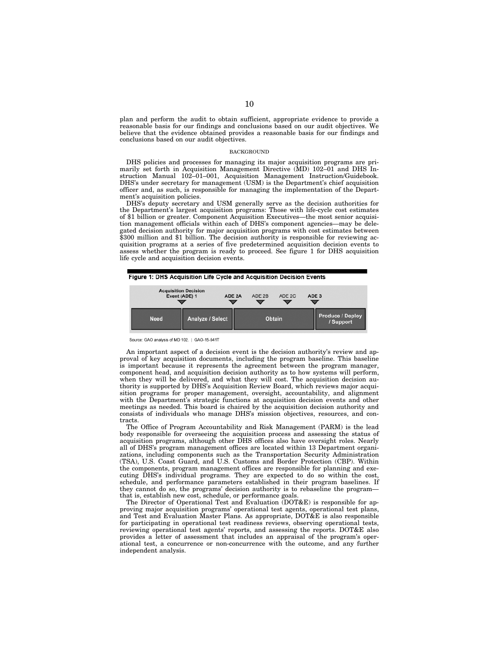plan and perform the audit to obtain sufficient, appropriate evidence to provide a reasonable basis for our findings and conclusions based on our audit objectives. We believe that the evidence obtained provides a reasonable basis for our findings and conclusions based on our audit objectives.

#### **BACKGROUND**

DHS policies and processes for managing its major acquisition programs are primarily set forth in Acquisition Management Directive (MD) 102–01 and DHS Instruction Manual 102–01–001, Acquisition Management Instruction/Guidebook. DHS's under secretary for management (USM) is the Department's chief acquisition officer and, as such, is responsible for managing the implementation of the Department's acquisition policies.

DHS's deputy secretary and USM generally serve as the decision authorities for the Department's largest acquisition programs: Those with life-cycle cost estimates of \$1 billion or greater. Component Acquisition Executives—the most senior acquisition management officials within each of DHS's component agencies—may be delegated decision authority for major acquisition programs with cost estimates between \$300 million and \$1 billion. The decision authority is responsible for reviewing acquisition programs at a series of five predetermined acquisition decision events to assess whether the program is ready to proceed. See figure 1 for DHS acquisition life cycle and acquisition decision events.



Source: GAO analysis of MD 102. | GAO-15-541T

An important aspect of a decision event is the decision authority's review and approval of key acquisition documents, including the program baseline. This baseline is important because it represents the agreement between the program manager, component head, and acquisition decision authority as to how systems will perform, when they will be delivered, and what they will cost. The acquisition decision authority is supported by DHS's Acquisition Review Board, which reviews major acquisition programs for proper management, oversight, accountability, and alignment with the Department's strategic functions at acquisition decision events and other meetings as needed. This board is chaired by the acquisition decision authority and consists of individuals who manage DHS's mission objectives, resources, and contracts.

The Office of Program Accountability and Risk Management (PARM) is the lead body responsible for overseeing the acquisition process and assessing the status of acquisition programs, although other DHS offices also have oversight roles. Nearly all of DHS's program management offices are located within 13 Department organizations, including components such as the Transportation Security Administration (TSA), U.S. Coast Guard, and U.S. Customs and Border Protection (CBP). Within the components, program management offices are responsible for planning and executing DHS's individual programs. They are expected to do so within the cost, schedule, and performance parameters established in their program baselines. If they cannot do so, the programs' decision authority is to rebaseline the programthat is, establish new cost, schedule, or performance goals.

The Director of Operational Test and Evaluation (DOT&E) is responsible for approving major acquisition programs' operational test agents, operational test plans, and Test and Evaluation Master Plans. As appropriate, DOT&E is also responsible for participating in operational test readiness reviews, observing operational tests, reviewing operational test agents' reports, and assessing the reports. DOT&E also provides a letter of assessment that includes an appraisal of the program's operational test, a concurrence or non-concurrence with the outcome, and any further independent analysis.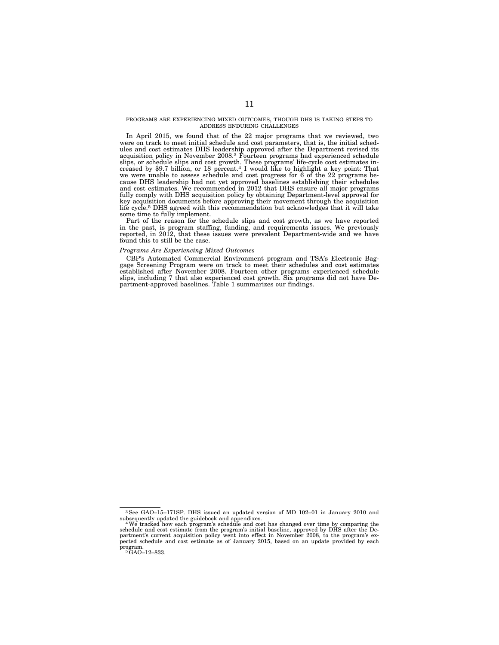#### PROGRAMS ARE EXPERIENCING MIXED OUTCOMES, THOUGH DHS IS TAKING STEPS TO ADDRESS ENDURING CHALLENGES

In April 2015, we found that of the 22 major programs that we reviewed, two were on track to meet initial schedule and cost parameters, that is, the initial schedules and cost estimates DHS leadership approved after the Department revised its acquisition policy in November 2008.3 Fourteen programs had experienced schedule slips, or schedule slips and cost growth. These programs' life-cycle cost estimates in-creased by \$9.7 billion, or 18 percent.4 I would like to highlight a key point: That we were unable to assess schedule and cost progress for 6 of the 22 programs because DHS leadership had not yet approved baselines establishing their schedules and cost estimates. We recommended in 2012 that DHS ensure all major programs fully comply with DHS acquisition policy by obtaining Department-level approval for key acquisition documents before approving their movement through the acquisition life cycle.<sup>5</sup> DHS agreed with this recommendation but acknowledges that it will take some time to fully implement.

Part of the reason for the schedule slips and cost growth, as we have reported in the past, is program staffing, funding, and requirements issues. We previously reported, in 2012, that these issues were prevalent Department-wide and we have found this to still be the case.

# *Programs Are Experiencing Mixed Outcomes*

CBP's Automated Commercial Environment program and TSA's Electronic Baggage Screening Program were on track to meet their schedules and cost estimates established after November 2008. Fourteen other programs experienced schedule slips, including 7 that also experienced cost growth. Six programs did not have Department-approved baselines. Table 1 summarizes our findings.

<sup>3</sup>See GAO–15–171SP. DHS issued an updated version of MD 102–01 in January 2010 and subsequently updated the guidebook and appendixes. 4We tracked how each program's schedule and cost has changed over time by comparing the

schedule and cost estimate from the program's initial baseline, approved by DHS after the De-partment's current acquisition policy went into effect in November 2008, to the program's expected schedule and cost estimate as of January 2015, based on an update provided by each program.<br><sup>5</sup>GAO–12–833.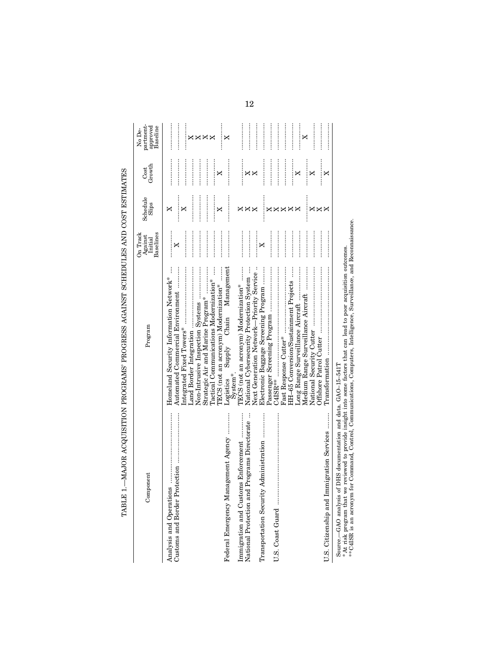| $\frac{1}{2}$                                                             |
|---------------------------------------------------------------------------|
|                                                                           |
|                                                                           |
|                                                                           |
|                                                                           |
|                                                                           |
|                                                                           |
|                                                                           |
|                                                                           |
|                                                                           |
|                                                                           |
|                                                                           |
| $\mathbf{I}$                                                              |
|                                                                           |
|                                                                           |
|                                                                           |
|                                                                           |
|                                                                           |
|                                                                           |
|                                                                           |
|                                                                           |
|                                                                           |
|                                                                           |
|                                                                           |
| ֧ׅ֧ׅ֧ׅ֧֧ׅ֧ׅ֧ׅ֧ׅ֧ׅ֧֧ׅ֧֧֧֧֧֚֚֚֚֚֚֚֚֚֚֚֚֚֚֚֚֚֚֚֚֚֚֚֚֚֚֚֬֜֜֝֬֜֜֓֜֜֓֜֝֬֜֝֬֝֬֝֬ |
|                                                                           |
|                                                                           |
|                                                                           |
|                                                                           |
|                                                                           |
|                                                                           |
|                                                                           |
|                                                                           |
|                                                                           |
|                                                                           |
|                                                                           |
|                                                                           |
|                                                                           |
|                                                                           |
|                                                                           |
|                                                                           |
|                                                                           |
|                                                                           |
|                                                                           |
|                                                                           |
|                                                                           |
|                                                                           |
|                                                                           |

| Component                                                                           | Program                                                                                                                                                                                                                                                                                                                                                                                                           | Baselines<br>On Track<br>Against<br>Initial | Schedule<br>$\operatorname{Sliips}$ | Growth<br>Cost             | partment-<br>approved<br>Baseline<br>No De- |
|-------------------------------------------------------------------------------------|-------------------------------------------------------------------------------------------------------------------------------------------------------------------------------------------------------------------------------------------------------------------------------------------------------------------------------------------------------------------------------------------------------------------|---------------------------------------------|-------------------------------------|----------------------------|---------------------------------------------|
| Analysis and Operations                                                             | $\ddot{}}$<br>Homeland Security Information Network*<br>Non-Intrusive Inspection Systems<br>Automated Commercial Environment<br>Tactical Communications Modernization*<br>Strategic Air and Marine Program*                                                                                                                                                                                                       | .<br><br>×                                  | .<br>X<br>×                         | <br><br>.                  | <br><br><b>xxxx</b>                         |
| Federal Emergency Management Agency                                                 | Supply Chain Management<br>TECS (not an acronym) Modernization*<br>System*<br>Logistics                                                                                                                                                                                                                                                                                                                           |                                             | X                                   | X                          | <br>X                                       |
| Immigration and Customs Enforcement<br>National Protection and Programs Directorate | TECS (not an acronym) Modernization*<br>Next Generation Network-Priority Service<br>National Cybersecurity Protection System                                                                                                                                                                                                                                                                                      |                                             | $\times \times$                     | $\times\times$             |                                             |
| Transportation Security Administration                                              | Electronic Baggage Screening Program                                                                                                                                                                                                                                                                                                                                                                              | .<br>×                                      | ×                                   |                            |                                             |
| U.S. Coast Guard                                                                    | HH-65 Conversion/Sustainment Projects<br>$C4ISR***$                                                                                                                                                                                                                                                                                                                                                               | <br>                                        | ×<br>×<br>×                         |                            | .<br>                                       |
|                                                                                     | Medium Range Surveillance Aircraft                                                                                                                                                                                                                                                                                                                                                                                |                                             | ×<br>$\times\times$                 | :<br>:<br>:<br>:<br>X<br>X | .<br>:::::::::::<br>X                       |
| U.S. Citizenship and Immigration Services                                           | $\label{eq:transformation} {\bf Transformation}\  \  \, \ldots\! \! \ldots\! \! \ldots\! \! \ldots\! \! \ldots\! \! \ldots\! \! \ldots\! \! \ldots\! \! \ldots\! \! \ldots\! \! \ldots\! \! \ldots\! \! \ldots\! \! \ldots\! \! \ldots\! \! \ldots\! \! \ldots\! \! \ldots\! \! \ldots\! \! \ldots\! \! \ldots\! \! \ldots\! \! \ldots\! \! \ldots\! \! \ldots\! \! \ldots\! \! \ldots\! \! \ldots\! \! \ldots\!$ | <br>                                        | ×                                   | X                          |                                             |
| DHS documentation and data. GAO-15-541T<br>Source.-GAO analysis of                  |                                                                                                                                                                                                                                                                                                                                                                                                                   |                                             |                                     |                            |                                             |

 $*$  At risk program that we reviewed to provide insight into some factors that can lead to poor acquisition outcomes.<br>\*\* C4ISR is an acronym for Command, Control, Communications, Computers, Intelligence, Surveillance, and \* At risk program that we reviewed to provide insight into some factors that can lead to poor acquisition outcomes.

\*\* C4ISR is an acronym for Command, Control, Communications, Computers, Intelligence, Surveillance, and Reconnaissance.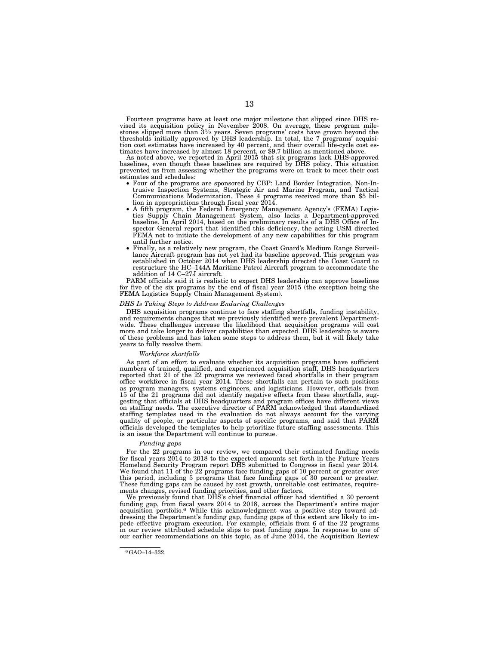Fourteen programs have at least one major milestone that slipped since DHS revised its acquisition policy in November 2008. On average, these program milestones slipped more than  $3\frac{1}{2}$  years. Seven programs' costs ha thresholds initially approved by DHS leadership. In total, the 7 programs' acquisition cost estimates have increased by 40 percent, and their overall life-cycle cost estimates have increased by almost 18 percent, or \$9.7 b

baselines, even though these baselines are required by DHS policy. This situation prevented us from assessing whether the programs were on track to meet their cost

- Four of the programs are sponsored by CBP: Land Border Integration, Non-Intrusive Inspection Systems, Strategic Air and Marine Program, and Tactical Communications Modernization. These 4 programs received more than \$5 billion in appropriations through fiscal year 2014. • A fifth program, the Federal Emergency Management Agency's (FEMA) Logis-
- tics Supply Chain Management System, also lacks a Department-approved baseline. In April 2014, based on the preliminary results of a DHS Office of Inspector General report that identified this deficiency, the acting USM directed FEMA not to initiate the development of any new capabilities for this program until further notice.
- Finally, as a relatively new program, the Coast Guard's Medium Range Surveillance Aircraft program has not yet had its baseline approved. This program was established in October 2014 when DHS leadership directed the Coast Guard to restructure the HC–144A Maritime Patrol Aircraft program to accommodate the addition of 14 C–27J aircraft.

PARM officials said it is realistic to expect DHS leadership can approve baselines for five of the six programs by the end of fiscal year 2015 (the exception being the FEMA Logistics Supply Chain Management System).

#### *DHS Is Taking Steps to Address Enduring Challenges*

DHS acquisition programs continue to face staffing shortfalls, funding instability, and requirements changes that we previously identified were prevalent Departmentwide. These challenges increase the likelihood that acquisition programs will cost more and take longer to deliver capabilities than expected. DHS leadership is aware of these problems and has taken some steps to address them, but it will likely take years to fully resolve them.

#### *Workforce shortfalls*

As part of an effort to evaluate whether its acquisition programs have sufficient numbers of trained, qualified, and experienced acquisition staff, DHS headquarters reported that 21 of the 22 programs we reviewed faced shortfalls in their program office workforce in fiscal year 2014. These shortfalls can pertain to such positions as program managers, systems engineers, and logisticians. However, officials from 15 of the 21 programs did not identify negative effects from these shortfalls, suggesting that officials at DHS headquarters and program offices have different views on staffing needs. The executive director of PARM acknowledged that standardized staffing templates used in the evaluation do not always account for the varying quality of people, or particular aspects of specific programs, and said that PARM officials developed the templates to help prioritize future staffing assessments. This is an issue the Department will continue to pursue.

#### *Funding gaps*

For the 22 programs in our review, we compared their estimated funding needs for fiscal years 2014 to 2018 to the expected amounts set forth in the Future Years Homeland Security Program report DHS submitted to Congress in fiscal year 2014. We found that 11 of the 22 programs face funding gaps of 10 percent or greater over this period, including 5 programs that face funding gaps of 30 percent or greater. These funding gaps can be caused by cost growth, unreliable cost estimates, requirements changes, revised funding priorities, and other factors.

We previously found that DHS's chief financial officer had identified a 30 percent funding gap, from fiscal years 2014 to 2018, across the Department's entire major acquisition portfolio.6 While this acknowledgment was a positive step toward addressing the Department's funding gap, funding gaps of this extent are likely to impede effective program execution. For example, officials from 6 of the 22 programs in our review attributed schedule slips to past funding gaps. In response to one of our earlier recommendations on this topic, as of June 2014, the Acquisition Review

<sup>6</sup>GAO–14–332.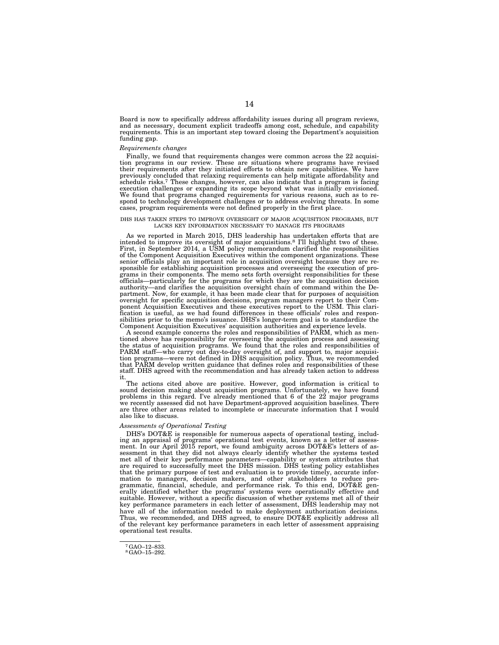Board is now to specifically address affordability issues during all program reviews, and as necessary, document explicit tradeoffs among cost, schedule, and capability requirements. This is an important step toward closing the Department's acquisition funding gap.

#### *Requirements changes*

Finally, we found that requirements changes were common across the 22 acquisition programs in our review. These are situations where programs have revised their requirements after they initiated efforts to obtain new capabilities. We have previously concluded that relaxing requirements can help mitigate affordability and schedule risks.<sup>7</sup> These changes, however, can also indicate that a program is facing execution challenges or expanding its scope beyond what was initially envisioned. We found that programs changed requirements for various reasons, such as to respond to technology development challenges or to address evolving threats. In some cases, program requirements were not defined properly in the first place.

#### DHS HAS TAKEN STEPS TO IMPROVE OVERSIGHT OF MAJOR ACQUISITION PROGRAMS, BUT LACKS KEY INFORMATION NECESSARY TO MANAGE ITS PROGRAMS

As we reported in March 2015, DHS leadership has undertaken efforts that are intended to improve its oversight of major acquisitions.8 I'll highlight two of these. First, in September 2014, a USM policy memorandum clarified the responsibilities of the Component Acquisition Executives within the component organizations. These senior officials play an important role in acquisition oversight because they are responsible for establishing acquisition processes and overseeing the execution of pro-grams in their components. The memo sets forth oversight responsibilities for these officials—particularly for the programs for which they are the acquisition decision authority—and clarifies the acquisition oversight chain of command within the Department. Now, for example, it has been made clear that for purposes of acquisition oversight for specific acquisition decisions, program managers report to their Component Acquisition Executives and these executives report to the USM. This clari-fication is useful, as we had found differences in these officials' roles and responsibilities prior to the memo's issuance. DHS's longer-term goal is to standardize the Component Acquisition Executives' acquisition authorities and experience levels.

A second example concerns the roles and responsibilities of PARM, which as men-tioned above has responsibility for overseeing the acquisition process and assessing the status of acquisition programs. We found that the roles and responsibilities of PARM staff—who carry out day-to-day oversight of, and support to, major acquisition programs—were not defined in DHS acquisition policy. Thus, we recommended that PARM develop written guidance that defines roles and responsibilities of these staff. DHS agreed with the recommendation and has already taken action to address

it. The actions cited above are positive. However, good information is critical to sound decision making about acquisition programs. Unfortunately, we have found problems in this regard. I've already mentioned that 6 of the 22 major programs we recently assessed did not have Department-approved acquisition baselines. There are three other areas related to incomplete or inaccurate information that I would also like to discuss.

#### *Assessments of Operational Testing*

DHS's DOT&E is responsible for numerous aspects of operational testing, including an appraisal of programs' operational test events, known as a letter of assess-ment. In our April 2015 report, we found ambiguity across DOT&E's letters of assessment in that they did not always clearly identify whether the systems tested met all of their key performance parameters—capability or system attributes that are required to successfully meet the DHS mission. DHS testing policy establishes that the primary purpose of test and evaluation is to provide timely, accurate information to managers, decision makers, and other stakeholders to reduce pro-<br>grammatic, financial, schedule, and performance risk. To this end, DOT&E generally identified whether the programs' systems were operationally effective and suitable. However, without a specific discussion of whether systems met all of their key performance parameters in each letter of assessment, DHS leadership may not have all of the information needed to make deployment authorization decisions. Thus, we recommended, and DHS agreed, to ensure DOT&E explicitly address all of the relevant key performance parameters in each letter of assessment appraising operational test results.

<sup>7</sup>GAO–12–833. 8GAO–15–292.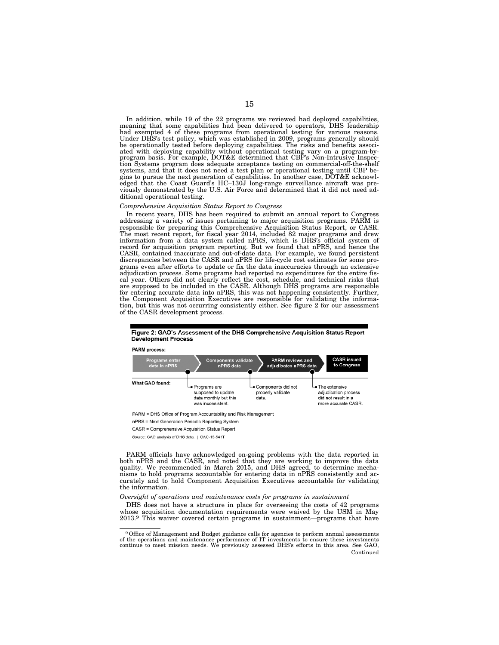In addition, while 19 of the 22 programs we reviewed had deployed capabilities, meaning that some capabilities had been delivered to operators, DHS leadership<br>had exempted 4 of these programs from operational testing for various reasons.<br>Under DHS's test policy, which was established in 2009, programs be operationally tested before deploying capabilities. The risks and benefits associated with deploying capability without operational testing vary on a program-by-program basis. For example, DOT&E determined that CBP's Non-Intrusive Inspection Systems program does adequate acceptance testing on commercial-off-the-shelf systems, and that it does not need a test plan or operational testing until CBP begins to pursue the next generation of capabilities. In another case, DOT&E acknowledged that the Coast Guard's HC–130J long-range surveillan viously demonstrated by the U.S. Air Force and determined that it did not need additional operational testing.

#### *Comprehensive Acquisition Status Report to Congress*

In recent years, DHS has been required to submit an annual report to Congress addressing a variety of issues pertaining to major acquisition programs. PARM is responsible for preparing this Comprehensive Acquisition Status Report, or CASR. The most recent report, for fiscal year 2014, included 82 major programs and drew information from a data system called nPRS, which is DHS's official system of record for acquisition program reporting. But we found that nPRS, and hence the CASR, contained inaccurate and out-of-date data. For example, we found persistent discrepancies between the CASR and nPRS for life-cycle cost estimates for some programs even after efforts to update or fix the data inaccuracies through an extensive adjudication process. Some programs had reported no expenditures for the entire fiscal year. Others did not clearly reflect the cost, schedule, and technical risks that are supposed to be included in the CASR. Although DHS programs are responsible for entering accurate data into nPRS, this was not happening consistently. Further, the Component Acquisition Executives are responsible for validating the information, but this was not occurring consistently either. See figure 2 for our assessment of the CASR development process.

#### Figure 2: GAO's Assessment of the DHS Comprehensive Acquisition Status Report **Development Process**

**PARM process** 



Source: GAO analysis of DHS data. | GAO-15-541T

PARM officials have acknowledged on-going problems with the data reported in both nPRS and the CASR, and noted that they are working to improve the data quality. We recommended in March 2015, and DHS agreed, to determine mechanisms to hold programs accountable for entering data in nPRS consistently and accurately and to hold Component Acquisition Executives accountable for validating the information.

*Oversight of operations and maintenance costs for programs in sustainment* 

DHS does not have a structure in place for overseeing the costs of 42 programs whose acquisition documentation requirements were waived by the USM in May 2013.9 This waiver covered certain programs in sustainment—programs that have

nPRS = Next Generation Periodic Reporting System

CASR = Comprehensive Acquisition Status Report

<sup>9</sup>Office of Management and Budget guidance calls for agencies to perform annual assessments of the operations and maintenance performance of IT investments to ensure these investments continue to meet mission needs. We previously assessed DHS's efforts in this area. See GAO, Continued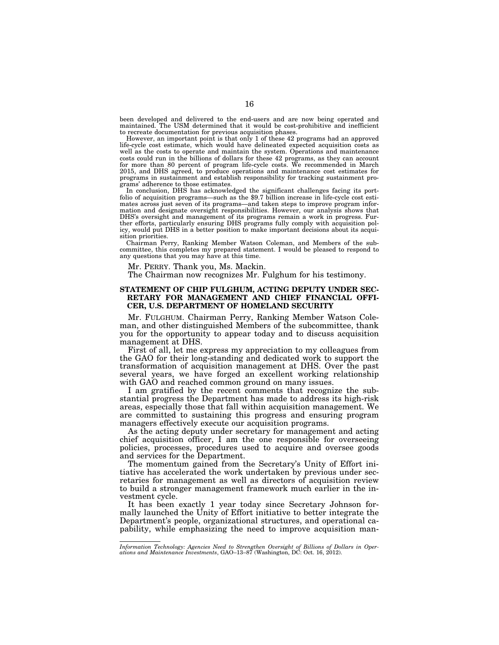been developed and delivered to the end-users and are now being operated and maintained. The USM determined that it would be cost-prohibitive and inefficient to recreate documentation for previous acquisition phases.

However, an important point is that only 1 of these 42 programs had an approved life-cycle cost estimate, which would have delineated expected acquisition costs as well as the costs to operate and maintain the system. Operations and maintenance costs could run in the billions of dollars for these 42 programs, as they can account for more than 80 percent of program life-cycle costs. We recommended in March 2015, and DHS agreed, to produce operations and maintenance cost estimates for programs in sustainment and establish responsibility for tracking sustainment programs' adherence to those estimates.

In conclusion, DHS has acknowledged the significant challenges facing its portfolio of acquisition programs—such as the \$9.7 billion increase in life-cycle cost estimates across just seven of its programs—and taken steps to improve program information and designate oversight responsibilities. However, our analysis shows that DHS's oversight and management of its programs remain a work in progress. Further efforts, particularly ensuring DHS programs fully comply with acquisition policy, would put DHS in a better position to make important decisions about its acquisition priorities.

Chairman Perry, Ranking Member Watson Coleman, and Members of the subcommittee, this completes my prepared statement. I would be pleased to respond to any questions that you may have at this time.

Mr. PERRY. Thank you, Ms. Mackin.

The Chairman now recognizes Mr. Fulghum for his testimony.

### **STATEMENT OF CHIP FULGHUM, ACTING DEPUTY UNDER SEC-RETARY FOR MANAGEMENT AND CHIEF FINANCIAL OFFI-CER, U.S. DEPARTMENT OF HOMELAND SECURITY**

Mr. FULGHUM. Chairman Perry, Ranking Member Watson Coleman, and other distinguished Members of the subcommittee, thank you for the opportunity to appear today and to discuss acquisition management at DHS.

First of all, let me express my appreciation to my colleagues from the GAO for their long-standing and dedicated work to support the transformation of acquisition management at DHS. Over the past several years, we have forged an excellent working relationship with GAO and reached common ground on many issues.

I am gratified by the recent comments that recognize the substantial progress the Department has made to address its high-risk areas, especially those that fall within acquisition management. We are committed to sustaining this progress and ensuring program managers effectively execute our acquisition programs.

As the acting deputy under secretary for management and acting chief acquisition officer, I am the one responsible for overseeing policies, processes, procedures used to acquire and oversee goods and services for the Department.

The momentum gained from the Secretary's Unity of Effort initiative has accelerated the work undertaken by previous under secretaries for management as well as directors of acquisition review to build a stronger management framework much earlier in the investment cycle.

It has been exactly 1 year today since Secretary Johnson formally launched the Unity of Effort initiative to better integrate the Department's people, organizational structures, and operational capability, while emphasizing the need to improve acquisition man-

*Information Technology: Agencies Need to Strengthen Oversight of Billions of Dollars in Oper-ations and Maintenance Investments*, GAO–13–87 (Washington, DC: Oct. 16, 2012).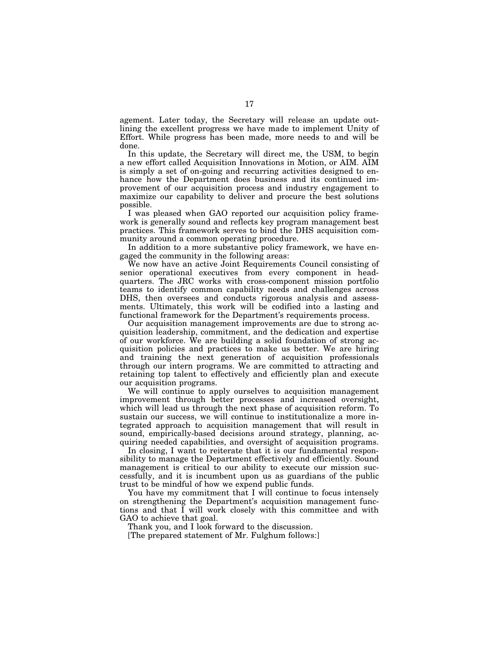agement. Later today, the Secretary will release an update outlining the excellent progress we have made to implement Unity of Effort. While progress has been made, more needs to and will be done.

In this update, the Secretary will direct me, the USM, to begin a new effort called Acquisition Innovations in Motion, or AIM. AIM is simply a set of on-going and recurring activities designed to enhance how the Department does business and its continued improvement of our acquisition process and industry engagement to maximize our capability to deliver and procure the best solutions possible.

I was pleased when GAO reported our acquisition policy framework is generally sound and reflects key program management best practices. This framework serves to bind the DHS acquisition community around a common operating procedure.

In addition to a more substantive policy framework, we have engaged the community in the following areas:

We now have an active Joint Requirements Council consisting of senior operational executives from every component in headquarters. The JRC works with cross-component mission portfolio teams to identify common capability needs and challenges across DHS, then oversees and conducts rigorous analysis and assessments. Ultimately, this work will be codified into a lasting and functional framework for the Department's requirements process.

Our acquisition management improvements are due to strong acquisition leadership, commitment, and the dedication and expertise of our workforce. We are building a solid foundation of strong acquisition policies and practices to make us better. We are hiring and training the next generation of acquisition professionals through our intern programs. We are committed to attracting and retaining top talent to effectively and efficiently plan and execute our acquisition programs.

We will continue to apply ourselves to acquisition management improvement through better processes and increased oversight, which will lead us through the next phase of acquisition reform. To sustain our success, we will continue to institutionalize a more integrated approach to acquisition management that will result in sound, empirically-based decisions around strategy, planning, acquiring needed capabilities, and oversight of acquisition programs.

In closing, I want to reiterate that it is our fundamental responsibility to manage the Department effectively and efficiently. Sound management is critical to our ability to execute our mission successfully, and it is incumbent upon us as guardians of the public trust to be mindful of how we expend public funds.

You have my commitment that I will continue to focus intensely on strengthening the Department's acquisition management functions and that I will work closely with this committee and with GAO to achieve that goal.

Thank you, and I look forward to the discussion.

[The prepared statement of Mr. Fulghum follows:]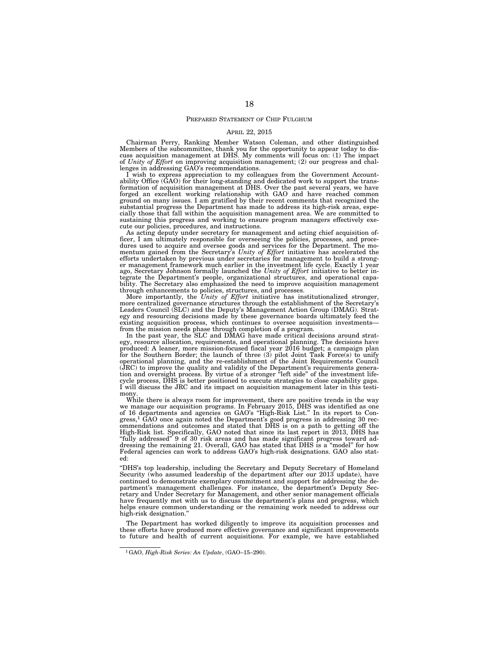#### PREPARED STATEMENT OF CHIP FULGHUM

#### APRIL 22, 2015

Chairman Perry, Ranking Member Watson Coleman, and other distinguished Members of the subcommittee, thank you for the opportunity to appear today to dis-cuss acquisition management at DHS. My comments will focus on: (1) The impact of *Unity of Effort* on improving acquisition management; (2) our progress and challenges in addressing GAO's recommendations.

I wish to express appreciation to my colleagues from the Government Accountability Office (GAO) for their long-standing and dedicated work to support the transformation of acquisition management at DHS. Over the past several years, we have forged an excellent working relationship with GAO and have reached common ground on many issues. I am gratified by their recent comments that recognized the substantial progress the Department has made to address its high-risk areas, especially those that fall within the acquisition management area. We are committed to sustaining this progress and working to ensure program managers effectively execute our policies, procedures, and instructions.

As acting deputy under secretary for management and acting chief acquisition of-<br>ficer, I am ultimately responsible for overseeing the policies, processes, and proce-<br>dures used to acquire and oversee goods and services f efforts undertaken by previous under secretaries for management to build a strong-er management framework much earlier in the investment life cycle. Exactly 1 year ago, Secretary Johnson formally launched the *Unity of Effort* initiative to better in-tegrate the Department's people, organizational structures, and operational capability. The Secretary also emphasized the need to improve acquisition management through enhancements to policies, structures, and processes.

More importantly, the *Unity of Effort* initiative has institutionalized stronger, more centralized governance structures through the establishment of the Secretary's Leaders Council (SLC) and the Deputy's Management Action Group (DMAG). Strat-egy and resourcing decisions made by these governance boards ultimately feed the existing acquisition process, which continues to oversee acquisition investments from the mission needs phase through completion of a program. In the past year, the SLC and DMAG have made critical decisions around strat-

egy, resource allocation, requirements, and operational planning. The decisions have<br>produced: A leaner, more mission-focused fiscal year 2016 budget; a campaign plan<br>for the Southern Border; the launch of three (3) pilot (JRC) to improve the quality and validity of the Department's requirements genera-tion and oversight process. By virtue of a stronger ''left side'' of the investment lifecycle process, DHS is better positioned to execute strategies to close capability gaps. I will discuss the JRC and its impact on acquisition management later in this testimony.

While there is always room for improvement, there are positive trends in the way we manage our acquisition programs. In February 2015, DHS was identified as one of 16 departments and agencies on GAO's ''High-Risk List.'' In its report to Congress,1 GAO once again noted the Department's good progress in addressing 30 recommendations and outcomes and stated that DHS is on a path to getting off the High-Risk list. Specifically, GAO noted that since its last report in 2013, DHS has ''fully addressed'' 9 of 30 risk areas and has made significant progress toward addressing the remaining 21. Overall, GAO has stated that DHS is a ''model'' for how Federal agencies can work to address GAO's high-risk designations. GAO also stated:

''DHS's top leadership, including the Secretary and Deputy Secretary of Homeland Security (who assumed leadership of the department after our 2013 update), have continued to demonstrate exemplary commitment and support for addressing the department's management challenges. For instance, the department's Deputy Secretary and Under Secretary for Management, and other senior management officials have frequently met with us to discuss the department's plans and progress, which helps ensure common understanding or the remaining work needed to address our high-risk designation.''

The Department has worked diligently to improve its acquisition processes and these efforts have produced more effective governance and significant improvements to future and health of current acquisitions. For example, we have established

<sup>1</sup>GAO, *High-Risk Series: An Update*, (GAO–15–290).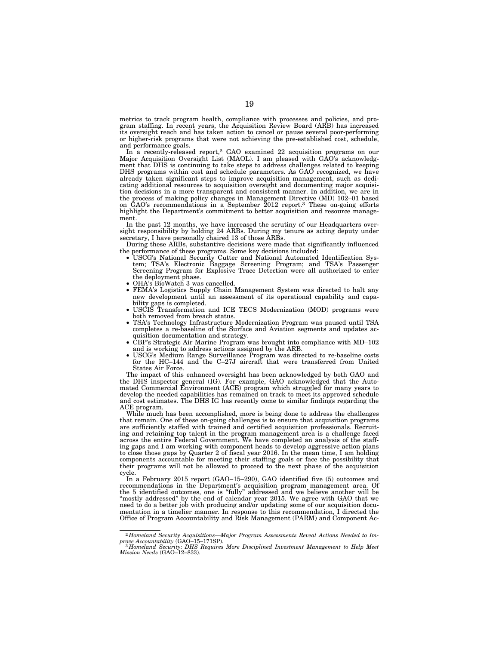metrics to track program health, compliance with processes and policies, and program staffing. In recent years, the Acquisition Review Board (ARB) has increased its oversight reach and has taken action to cancel or pause several poor-performing or higher-risk programs that were not achieving the pre-established cost, schedule, and performance goals.

In a recently-released report,2 GAO examined 22 acquisition programs on our Major Acquisition Oversight List (MAOL). I am pleased with GAO's acknowledgment that DHS is continuing to take steps to address challenges related to keeping DHS programs within cost and schedule parameters. As GAO recognized, we have already taken significant steps to improve acquisition management, such as dedicating additional resources to acquisition oversight and documenting major acquisition decisions in a more transparent and consistent manner. In addition, we are in the process of making policy changes in Management Directive (MD) 102–01 based on GAO's recommendations in a September 2012 report.3 These on-going efforts highlight the Department's commitment to better acquisition and resource management.

In the past 12 months, we have increased the scrutiny of our Headquarters oversight responsibility by holding 24 ARBs. During my tenure as acting deputy under secretary, I have personally chaired 13 of those ARBs.

During these ARBs, substantive decisions were made that significantly influenced the performance of these programs. Some key decisions included:

- USCG's National Security Cutter and National Automated Identification System; TSA's Electronic Baggage Screening Program; and TSA's Passenger Screening Program for Explosive Trace Detection were all authorized to enter the deployment phase.
- OHA's BioWatch 3 was cancelled.<br>• FEMA's Logistics Supply Chain
- FEMA's Logistics Supply Chain Management System was directed to halt any new development until an assessment of its operational capability and capability gaps is completed.
- USCIS Transformation and ICE TECS Modernization (MOD) programs were both removed from breach status.
- TSA's Technology Infrastructure Modernization Program was paused until TSA completes a re-baseline of the Surface and Aviation segments and updates acquisition documentation and strategy.
- CBP's Strategic Air Marine Program was brought into compliance with MD–102 and is working to address actions assigned by the ARB.
- USCG's Medium Range Surveillance Program was directed to re-baseline costs for the HC–144 and the C–27J aircraft that were transferred from United States Air Force.

The impact of this enhanced oversight has been acknowledged by both GAO and the DHS inspector general (IG). For example, GAO acknowledged that the Automated Commercial Environment (ACE) program which struggled for many years to develop the needed capabilities has remained on track to meet its approved schedule and cost estimates. The DHS IG has recently come to similar findings regarding the ACE program.

While much has been accomplished, more is being done to address the challenges that remain. One of these on-going challenges is to ensure that acquisition programs are sufficiently staffed with trained and certified acquisition professionals. Recruiting and retaining top talent in the program management area is a challenge faced across the entire Federal Government. We have completed an analysis of the staffing gaps and I am working with component heads to develop aggressive action plans to close those gaps by Quarter 2 of fiscal year 2016. In the mean time, I am holding components accountable for meeting their staffing goals or face the possibility that their programs will not be allowed to proceed to the next phase of the acquisition cycle.

In a February 2015 report (GAO–15–290), GAO identified five (5) outcomes and recommendations in the Department's acquisition program management area. Of the 5 identified outcomes, one is ''fully'' addressed and we believe another will be ''mostly addressed'' by the end of calendar year 2015. We agree with GAO that we need to do a better job with producing and/or updating some of our acquisition documentation in a timelier manner. In response to this recommendation, I directed the Office of Program Accountability and Risk Management (PARM) and Component Ac-

 $^{2}$ Homeland Security Acquisitions—Major Program Assessments Reveal Actions Needed to Improve Accountability (GAO–15–1718P).<br>
3Homeland Security: DHS Requires More Disciplined Investment Management to Help Meet<br>
3Homelan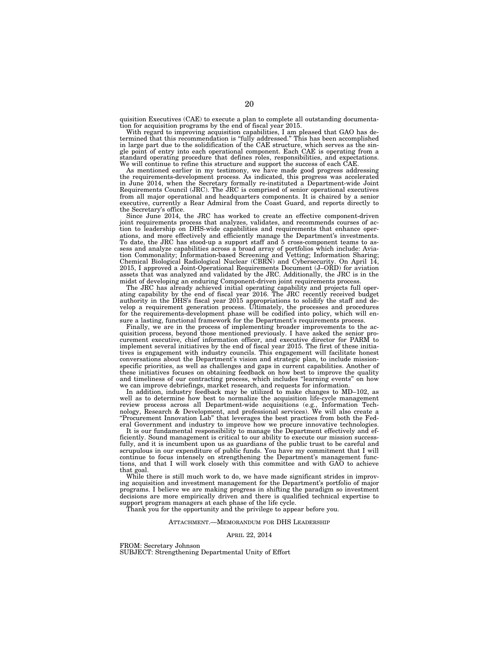quisition Executives (CAE) to execute a plan to complete all outstanding documentation for acquisition programs by the end of fiscal year 2015.

With regard to improving acquisition capabilities, I am pleased that GAO has determined that this recommendation is "fully addressed." This has been accomplished in large part due to the solidification of the CAE structure standard operating procedure that defines roles, responsibilities, and expectations. We will continue to refine this structure and support the success of each CAE.

As mentioned earlier in my testimony, we have made good progress addressing the requirements-development process. As indicated, this progress was accelerated in June 2014, when the Secretary formally re-instituted a Department-wide Joint Requirements Council (JRC). The JRC is comprised of senior operational executives from all major operational and headquarters components. It is chaired by a senior executive, currently a Rear Admiral from the Coast Guard, and reports directly to the Secretary's office.

Since June 2014, the JRC has worked to create an effective component-driven joint requirements process that analyzes, validates, and recommends courses of action to leadership on DHS-wide capabilities and requirements that enhance operations, and more effectively and efficiently manage the Department's investments. To date, the JRC has stood-up a support staff and 5 cross-component teams to assess and analyze capabilities across a broad array of portfolios which include: Aviation Commonality; Information-based Screening and Vetting; Information Sharing; Chemical Biological Radiological Nuclear (CBRN) and Cybersecurity. On April 14, 2015, I approved a Joint-Operational Requirements Document (J–ORD) for aviation assets that was analyzed and validated by the JRC. Additionally, the JRC is in the midst of developing an enduring Component-driven joint requirements process.

The JRC has already achieved initial operating capability and projects full operating capability by the end of fiscal year 2016. The JRC recently received budget authority in the DHS's fiscal year 2015 appropriations to solidify the staff and develop a requirement generation process. Ultimately, the processes and procedures for the requirements-development phase will be codified into policy, which will ensure a lasting, functional framework for the Department's requirements process.

Finally, we are in the process of implementing broader improvements to the acquisition process, beyond those mentioned previously. I have asked the senior procurement executive, chief information officer, and executive director for PARM to implement several initiatives by the end of fiscal year 2015. The first of these initiatives is engagement with industry councils. This engagement will facilitate honest conversations about the Department's vision and strategic plan, to include missionspecific priorities, as well as challenges and gaps in current capabilities. Another of these initiatives focuses on obtaining feedback on how best to improve the quality and timeliness of our contracting process, which includes "learning events" on how we can improve debriefings, market research, and requests for information.

In addition, industry feedback may be utilized to make changes to MD–102, as well as to determine how best to normalize the acquisition life-cycle management review process across all Department-wide acquisitions (e.g., Information Technology, Research & Development, and professional services). We will also create a ''Procurement Innovation Lab'' that leverages the best practices from both the Federal Government and industry to improve how we procure innovative technologies.

It is our fundamental responsibility to manage the Department effectively and efficiently. Sound management is critical to our ability to execute our mission successfully, and it is incumbent upon us as guardians of the public trust to be careful and scrupulous in our expenditure of public funds. You have my commitment that I will continue to focus intensely on strengthening the Department's management functions, and that I will work closely with this committee and with GAO to achieve that goal.

While there is still much work to do, we have made significant strides in improving acquisition and investment management for the Department's portfolio of major programs. I believe we are making progress in shifting the paradigm so investment decisions are more empirically driven and there is qualified technical expertise to support program managers at each phase of the life cycle.

Thank you for the opportunity and the privilege to appear before you.

#### ATTACHMENT.—MEMORANDUM FOR DHS LEADERSHIP

#### APRIL 22, 2014

FROM: Secretary Johnson

SUBJECT: Strengthening Departmental Unity of Effort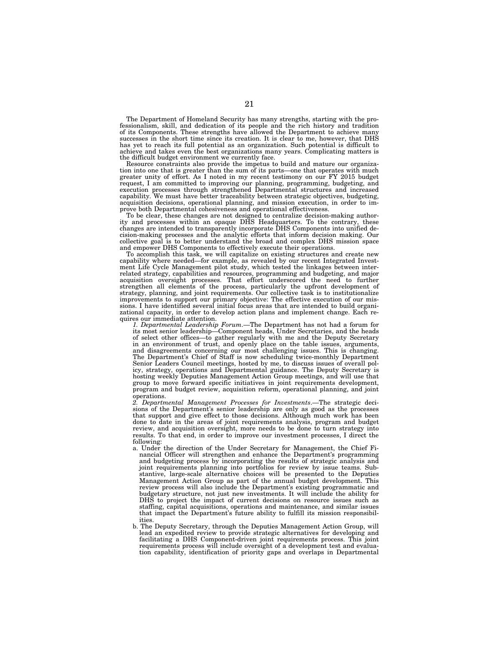The Department of Homeland Security has many strengths, starting with the professionalism, skill, and dedication of its people and the rich history and tradition of its Components. These strengths have allowed the Department to achieve many successes in the short time since its creation. It is clear to me, however, that DHS has yet to reach its full potential as an organization. Such potential is difficult to achieve and takes even the best organizations many years. Complicating matters is the difficult budget environment we currently face.

Resource constraints also provide the impetus to build and mature our organization into one that is greater than the sum of its parts—one that operates with much greater unity of effort. As I noted in my recent testimony on our FY 2015 budget request, I am committed to improving our planning, programming, budgeting, and<br>execution processes through strengthened Departmental structures and increased<br>capability. We must have better traceability between strategic o acquisition decisions, operational planning, and mission execution, in order to im-prove both Departmental cohesiveness and operational effectiveness.

To be clear, these changes are not designed to centralize decision-making author-ity and processes within an opaque DHS Headquarters. To the contrary, these changes are intended to transparently incorporate DHS Components into unified de-cision-making processes and the analytic efforts that inform decision making. Our collective goal is to better understand the broad and complex DHS mission space and empower DHS Components to effectively execute their operations.

To accomplish this task, we will capitalize on existing structures and create new capability where needed—for example, as revealed by our recent Integrated Investment Life Cycle Management pilot study, which tested the linkages between inter-related strategy, capabilities and resources, programming and budgeting, and major acquisition oversight processes. That effort underscored the need to further strengthen all elements of the process, particularly the upfront development of<br>strategy, planning, and joint requirements. Our collective task is to institutionalize<br>improvements to support our primary objective: The effe zational capacity, in order to develop action plans and implement change. Each requires our immediate attention.

*1. Departmental Leadership Forum*.—The Department has not had a forum for its most senior leadership—Component heads, Under Secretaries, and the heads of select other offices—to gather regularly with me and the Deputy Secretary in an environment of trust, and openly place on the table issues, arguments,<br>and disagreements concerning our most challenging issues. This is changing.<br>The Department's Chief of Staff is now scheduling twice-monthly Depar Senior Leaders Council meetings, hosted by me, to discuss issues of overall policy, strategy, operations and Departmental guidance. The Deputy Secretary is hosting weekly Deputies Management Action Group meetings, and will use that group to move forward specific initiatives in joint requirements development, program and budget review, acquisition reform, operational planning, and joint operations.

*2. Departmental Management Processes for Investments*.—The strategic decisions of the Department's senior leadership are only as good as the processes that support and give effect to those decisions. Although much work has been done to date in the areas of joint requirements analysis, program and budget review, and acquisition oversight, more needs to be done to turn strategy into results. To that end, in order to improve our investment processes, I direct the following:

- a. Under the direction of the Under Secretary for Management, the Chief Financial Officer will strengthen and enhance the Department's programming and budgeting process by incorporating the results of strategic analysis and joint requirements planning into portfolios for review by issue teams. Substantive, large-scale alternative choices will be presented to the Deputies Management Action Group as part of the annual budget development. This review process will also include the Department's existing programmatic and budgetary structure, not just new investments. It will include the ability for DHS to project the impact of current decisions on resource issues such as staffing, capital acquisitions, operations and maintenance, and similar issues that impact the Department's future ability to fulfill its mission responsibilities.
- b. The Deputy Secretary, through the Deputies Management Action Group, will lead an expedited review to provide strategic alternatives for developing and facilitating a DHS Component-driven joint requirements process. This joint requirements process will include oversight of a development test and evaluation capability, identification of priority gaps and overlaps in Departmental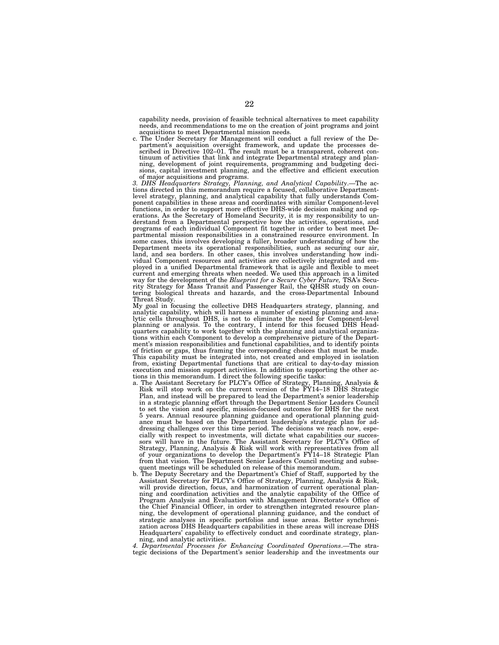capability needs, provision of feasible technical alternatives to meet capability needs, and recommendations to me on the creation of joint programs and joint acquisitions to meet Departmental mission needs.

c. The Under Secretary for Management will conduct a full review of the Department's acquisition oversight framework, and update the processes de-scribed in Directive 102–01. The result must be a transparent, coherent continuum of activities that link and integrate Departmental strategy and planning, development of joint requirements, programming and budgeting deci-sions, capital investment planning, and the effective and efficient execution of major acquisitions and programs.

*3. DHS Headquarters Strategy, Planning, and Analytical Capability*.—The actions directed in this memorandum require a focused, collaborative Departmentlevel strategy, planning, and analytical capability that fully understands Component capabilities in these areas and coordinates with similar Component-level functions, in order to support more effective DHS-wide decision making and operations. As the Secretary of Homeland Security, it is my responsibility to un-derstand from a Departmental perspective how the activities, operations, and programs of each individual Component fit together in order to best meet Departmental mission responsibilities in a constrained resource environment. In some cases, this involves developing a fuller, broader understanding of how the Department meets its operational responsibilities, such as securing our air, land, and sea borders. In other cases, this involves understanding how indi-vidual Component resources and activities are collectively integrated and employed in a unified Departmental framework that is agile and flexible to meet current and emerging threats when needed. We used this approach in a limited way for the development of the *Blueprint for a Secure Cyber Future,* TSA's Security Strategy for Mass Transit and Passenger Rail, the QHSR study on coun-tering biological threats and hazards, and the cross-Departmental Inbound

Threat Study. My goal in focusing the collective DHS Headquarters strategy, planning, and analytic capability, which will harness a number of existing planning and analytic capability, which will harness a number of existing planning and analytic cells throughout DHS, is not to eliminate the need for Componenttions within each Component to develop a comprehensive picture of the Department's mission responsibilities and functional capabilities, and to identify points of friction or gaps, thus framing the corresponding choices that must be made. This capability must be integrated into, not created and employed in isolation from, existing Departmental functions that are critical to day-to-day mission execution and mission support activities. In addition to supporting the other actions in this memorandum. I direct the following specific tasks:

- a. The Assistant Secretary for PLCY's Office of Strategy, Planning, Analysis & Risk will stop work on the current version of the FY14–18 DHS Strategic Plan, and instead will be prepared to lead the Department's senior leadership in a strategic planning effort through the Department Senior Leaders Council to set the vision and specific, mission-focused outcomes for DHS for the next 5 years. Annual resource planning guidance and operational planning guidance must be based on the Department leadership's strategic plan for addressing challenges over this time period. The decisions we reach now, especially with respect to investments, will dictate what capabilities our successors will have in the future. The Assistant Secretary for PLCY's Office of Strategy, Planning, Analysis & Risk will work with representatives from all of your organizations to develop the Department's FY14–18 Strategic Plan from that vision. The Department Senior Leaders Council meeting and subsequent meetings will be scheduled on release of this memorandum.
- b. The Deputy Secretary and the Department's Chief of Staff, supported by the Assistant Secretary for PLCY's Office of Strategy, Planning, Analysis & Risk, will provide direction, focus, and harmonization of current operational planning and coordination activities and the analytic capability of the Office of Program Analysis and Evaluation with Management Directorate's Office of the Chief Financial Officer, in order to strengthen integrated resource planning, the development of operational planning guidance, and the conduct of strategic analyses in specific portfolios and issue areas. Better synchronization across DHS Headquarters capabilities in these areas will increase DHS Headquarters' capability to effectively conduct and coordinate strategy, planning, and analytic activities.

*4. Departmental Processes for Enhancing Coordinated Operations*.—The strategic decisions of the Department's senior leadership and the investments our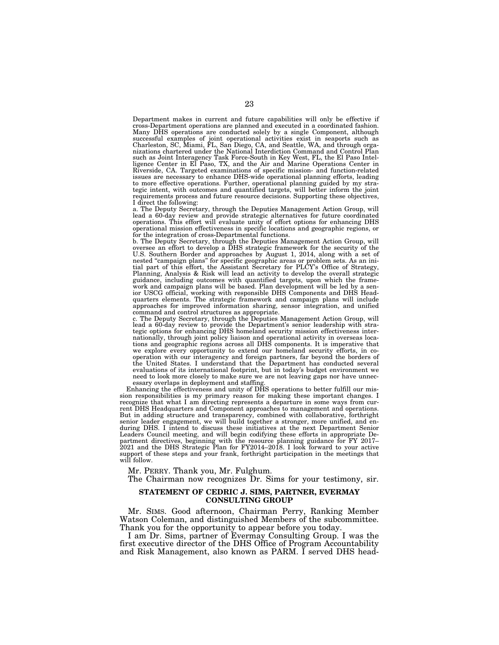Department makes in current and future capabilities will only be effective if cross-Department operations are planned and executed in a coordinated fashion. Many DHS operations are conducted solely by a single Component, although successful examples of joint operational activities exist in seaports such as<br>Charleston, SC, Miami, FL, San Diego, CA, and Seattle, WA, and through organizations chartered under the National Interdiction Command and Contr such as Joint Interagency Task Force-South in Key West, FL, the El Paso Intel-<br>ligence Center in El Paso, TX, and the Air and Marine Operations Center in<br>Riverside, CA. Targeted examinations of specific mission- and functi issues are necessary to enhance DHS-wide operational planning efforts, leading to more effective operations. Further, operational planning guided by my strategic intent, with outcomes and quantified targets, will better inform the joint requirements process and future resource decisions. Supporting these objectives, I direct the following:

a. The Deputy Secretary, through the Deputies Management Action Group, will lead a 60-day review and provide strategic alternatives for future coordinated operations. This effort will evaluate unity of effort options for enhancing DHS operational mission effectiveness in specific locations and geographic regions, or for the integration of cross-Departmental functions.

b. The Deputy Secretary, through the Deputies Management Action Group, will oversee an effort to develop a DHS strategic framework for the security of the U.S. Southern Border and approaches by August 1, 2014, along with a set of nested "campaign plans" for specific geographic areas or problem sets. As an initial part is dial part, the Assistant Secretary for PLCY's Office o guidance, including outcomes with quantified targets, upon which the frame-<br>work and campaign plans will be based. Plan development will be led by a sen-<br>ior USCG official, working with responsible DHS DHS DHS Head-<br>quarte approaches for improved information sharing, sensor integration, and unified command and control structures as appropriate.

c. The Deputy Secretary, through the Deputies Management Action Group, will lead a 60-day review to provide the Department's senior leadership with stra-tegic options for enhancing DHS homeland security mission effectiveness internationally, through joint policy liaison and operational activity in overseas loca-tions and geographic regions across all DHS components. It is imperative that we explore every opportunity to extend our homeland security efforts, in cooperation with our interagency and foreign partners, far beyond the borders of the United States. I understand that the Department has conducted several evaluations of its international footprint, but in today's budget environment we need to look more closely to make sure we are not leaving gaps nor have unnecessary overlaps in deployment and staffing.

Enhancing the effectiveness and unity of DHS operations to better fulfill our mission responsibilities is my primary reason for making these important changes. I recognize that what I am directing represents a departure in some ways from current DHS Headquarters and Component approaches to management and operations. But in adding structure and transparency, combined with collaborative, forthright senior leader engagement, we will build together a stronger, more unified, and en-during DHS. I intend to discuss these initiatives at the next Department Senior Leaders Council meeting, and will begin codifying these efforts in appropriate Department directives, beginning with the resource planning guidance for FY 2017– 2021 and the DHS Strategic Plan for FY2014–2018. I look forward to your active support of these steps and your frank, forthright participation in the meetings that will follow.

Mr. PERRY. Thank you, Mr. Fulghum.

The Chairman now recognizes Dr. Sims for your testimony, sir.

## **STATEMENT OF CEDRIC J. SIMS, PARTNER, EVERMAY CONSULTING GROUP**

Mr. SIMS. Good afternoon, Chairman Perry, Ranking Member Watson Coleman, and distinguished Members of the subcommittee. Thank you for the opportunity to appear before you today.

I am Dr. Sims, partner of Evermay Consulting Group. I was the first executive director of the DHS Office of Program Accountability and Risk Management, also known as PARM. I served DHS head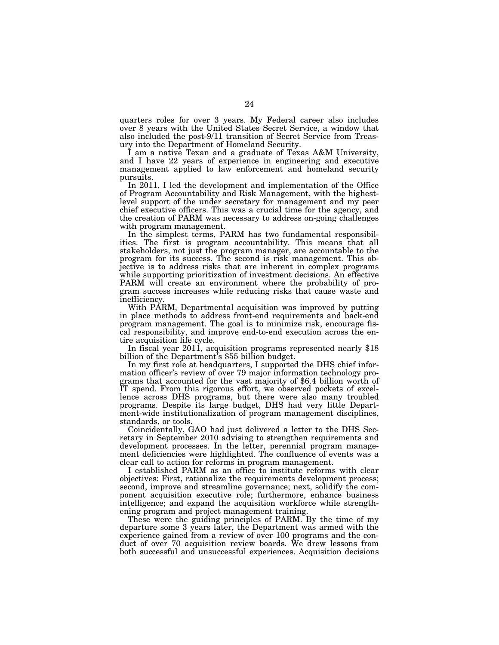quarters roles for over 3 years. My Federal career also includes over 8 years with the United States Secret Service, a window that also included the post-9/11 transition of Secret Service from Treasury into the Department of Homeland Security.

I am a native Texan and a graduate of Texas A&M University, and I have 22 years of experience in engineering and executive management applied to law enforcement and homeland security pursuits.

In 2011, I led the development and implementation of the Office of Program Accountability and Risk Management, with the highestlevel support of the under secretary for management and my peer chief executive officers. This was a crucial time for the agency, and the creation of PARM was necessary to address on-going challenges with program management.

In the simplest terms, PARM has two fundamental responsibilities. The first is program accountability. This means that all stakeholders, not just the program manager, are accountable to the program for its success. The second is risk management. This objective is to address risks that are inherent in complex programs while supporting prioritization of investment decisions. An effective PARM will create an environment where the probability of program success increases while reducing risks that cause waste and inefficiency.

With PARM, Departmental acquisition was improved by putting in place methods to address front-end requirements and back-end program management. The goal is to minimize risk, encourage fiscal responsibility, and improve end-to-end execution across the en-

In fiscal year 2011, acquisition programs represented nearly  $$18$  billion of the Department's  $$55$  billion budget.

In my first role at headquarters, I supported the DHS chief information officer's review of over 79 major information technology programs that accounted for the vast majority of \$6.4 billion worth of IT spend. From this rigorous effort, we observed pockets of excellence across DHS programs, but there were also many troubled programs. Despite its large budget, DHS had very little Department-wide institutionalization of program management disciplines, standards, or tools.

Coincidentally, GAO had just delivered a letter to the DHS Secretary in September 2010 advising to strengthen requirements and development processes. In the letter, perennial program management deficiencies were highlighted. The confluence of events was a clear call to action for reforms in program management.

I established PARM as an office to institute reforms with clear objectives: First, rationalize the requirements development process; second, improve and streamline governance; next, solidify the component acquisition executive role; furthermore, enhance business intelligence; and expand the acquisition workforce while strengthening program and project management training.

These were the guiding principles of PARM. By the time of my departure some 3 years later, the Department was armed with the experience gained from a review of over 100 programs and the conduct of over 70 acquisition review boards. We drew lessons from both successful and unsuccessful experiences. Acquisition decisions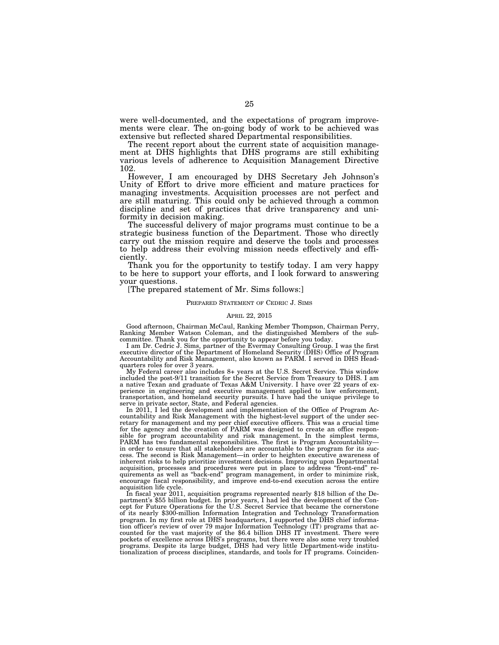were well-documented, and the expectations of program improvements were clear. The on-going body of work to be achieved was extensive but reflected shared Departmental responsibilities.

The recent report about the current state of acquisition management at DHS highlights that DHS programs are still exhibiting various levels of adherence to Acquisition Management Directive 102.

However, I am encouraged by DHS Secretary Jeh Johnson's Unity of Effort to drive more efficient and mature practices for managing investments. Acquisition processes are not perfect and are still maturing. This could only be achieved through a common discipline and set of practices that drive transparency and uniformity in decision making.

The successful delivery of major programs must continue to be a strategic business function of the Department. Those who directly carry out the mission require and deserve the tools and processes to help address their evolving mission needs effectively and efficiently.

Thank you for the opportunity to testify today. I am very happy to be here to support your efforts, and I look forward to answering your questions.

### [The prepared statement of Mr. Sims follows:]

#### PREPARED STATEMENT OF CEDRIC J. SIMS

#### APRIL 22, 2015

Good afternoon, Chairman McCaul, Ranking Member Thompson, Chairman Perry, Ranking Member Watson Coleman, and the distinguished Members of the subcommittee. Thank you for the opportunity to appear before you today.

I am Dr. Cedric J. Sims, partner of the Evermay Consulting Group. I was the first executive director of the Department of Homeland Security (DHS) Office of Program Accountability and Risk Management, also known as PARM. I served in DHS Headquarters roles for over 3 years.

My Federal career also includes 8+ years at the U.S. Secret Service. This window included the post-9/11 transition for the Secret Service from Treasury to DHS. I am a native Texan and graduate of Texas A&M University. I have over 22 years of experience in engineering and executive management applied to law enforcement, transportation, and homeland security pursuits. I have had the unique privilege to serve in private sector, State, and Federal agencies.

In 2011, I led the development and implementation of the Office of Program Accountability and Risk Management with the highest-level support of the under sec-retary for management and my peer chief executive officers. This was a crucial time for the agency and the creation of PARM was designed to create an office responsible for program accountability and risk management. In the simplest terms, PARM has two fundamental responsibilities. The first is Program Accountability— in order to ensure that all stakeholders are accountable to the program for its success. The second is Risk Management—in order to heighten executive awareness of inherent risks to help prioritize investment decisions. Improving upon Departmental acquisition, processes and procedures were put in place to address ''front-end'' requirements as well as ''back-end'' program management, in order to minimize risk, encourage fiscal responsibility, and improve end-to-end execution across the entire

In fiscal year 2011, acquisition programs represented nearly \$18 billion of the Department's \$55 billion budget. In prior years, I had led the development of the Concept for Future Operations for the U.S. Secret Service that became the cornerstone of its nearly \$300-million Information Integration and Technology Transformation program. In my first role at DHS headquarters, I supported the DHS chief information officer's review of over 79 major Information Technology (IT) programs that accounted for the vast majority of the \$6.4 billion DHS IT investment. There were pockets of excellence across DHS's programs, but there were also some very troubled programs. Despite its large budget, DHS had very little Department-wide institutionalization of process disciplines, standards, and tools for IT programs. Coinciden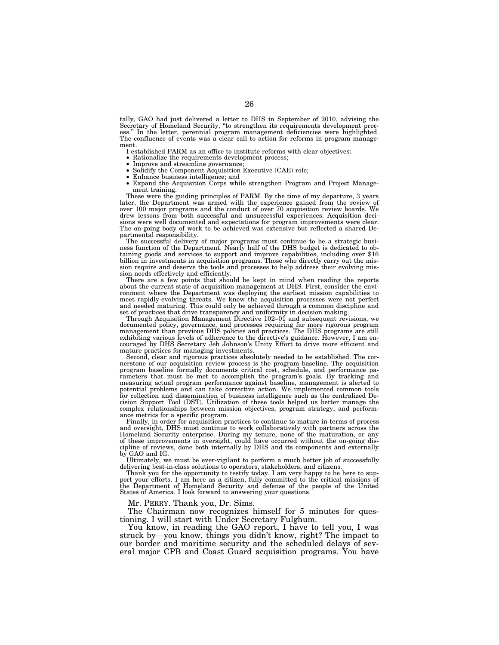tally, GAO had just delivered a letter to DHS in September of 2010, advising the Secretary of Homeland Security, ''to strengthen its requirements development process." In the letter, perennial program management deficiencies were highlighted. The confluence of events was a clear call to action for reforms in program management.

I established PARM as an office to institute reforms with clear objectives:

- 
- 
- 
- Rationalize the requirements development process;<br>• Improve and streamline governance;<br>• Solidify the Component Acquisition Executive (CAE) role;<br>• Enhance business intelligence; and<br>• Expand the Acquisition Corps while ment training.

These were the guiding principles of PARM. By the time of my departure, 3 years later, the Department was armed with the experience gained from the review of over 100 major programs and the conduct of over 70 acquisition review boards. We drew lessons from both successful and unsuccessful experiences. Acquisition decisions were well documented and expectations for program improvements were clear. The on-going body of work to be achieved was extensive but reflected a shared De-partmental responsibility.

The successful delivery of major programs must continue to be a strategic busi-ness function of the Department. Nearly half of the DHS budget is dedicated to obtaining goods and services to support and improve capabilities, including over \$16 billion in investments in acquisition programs. Those who directly carry out the mission require and deserve the tools and processes to help address their evolving mission needs effectively and efficiently.

There are a few points that should be kept in mind when reading the reports about the current state of acquisition management at DHS. First, consider the environment where the Department was deploying the earliest mission capabilities to meet rapidly-evolving threats. We knew the acquisition processes were not perfect and needed maturing. This could only be achieved through a c

Through Acquisition Management Directive 102–01 and subsequent revisions, we documented policy, governance, and processes requiring far more rigorous program<br>management than previous DHS policies and practices. The DHS programs are still<br>exhibiting various levels of adherence to the directive's gui couraged by DHS Secretary Jeh Johnson's Unity Effort to drive more efficient and mature practices for managing investments.

Second, clear and rigorous practices absolutely needed to be established. The cornerstone of our acquisition review process is the program baseline. The acquisition program baseline formally documents critical cost, schedule, and performance parameters that must be met to accomplish the program's goals. By tracking and measuring actual program performance against baseline, management is alerted to potential problems and can take corrective action. We implemented common tools for collection and dissemination of business intelligence such as the centralized Decision Support Tool (DST). Utilization of these tools helped us better manage the complex relationships between mission objectives, program strategy, and performance metrics for a specific program.

Finally, in order for acquisition practices to continue to mature in terms of process and oversight, DHS must continue to work collaboratively with partners across the Homeland Security enterprise. During my tenure, none of the maturation, or any of these improvements in oversight, could have occurred without the on-going discipline of reviews, done both internally by DHS and its components and externally by GAO and IG.

Ultimately, we must be ever-vigilant to perform a much better job of successfully delivering best-in-class solutions to operators, stakeholders, and citizens.

Thank you for the opportunity to testify today. I am very happy to be here to support your efforts. I am here as a citizen, fully committed to the critical missions of the Department of Homeland Security and defense of the people of the United States of America. I look forward to answering your questions.

Mr. PERRY. Thank you, Dr. Sims.

The Chairman now recognizes himself for 5 minutes for questioning. I will start with Under Secretary Fulghum.

You know, in reading the GAO report, I have to tell you, I was struck by—you know, things you didn't know, right? The impact to our border and maritime security and the scheduled delays of several major CPB and Coast Guard acquisition programs. You have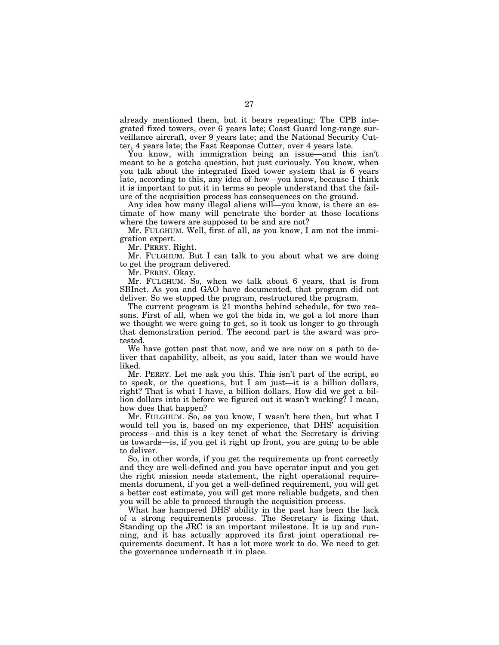already mentioned them, but it bears repeating: The CPB integrated fixed towers, over 6 years late; Coast Guard long-range surveillance aircraft, over 9 years late; and the National Security Cutter, 4 years late; the Fast Response Cutter, over 4 years late.

You know, with immigration being an issue—and this isn't meant to be a gotcha question, but just curiously. You know, when you talk about the integrated fixed tower system that is 6 years late, according to this, any idea of how—you know, because I think it is important to put it in terms so people understand that the failure of the acquisition process has consequences on the ground.

Any idea how many illegal aliens will—you know, is there an estimate of how many will penetrate the border at those locations where the towers are supposed to be and are not?

Mr. FULGHUM. Well, first of all, as you know, I am not the immigration expert.

Mr. PERRY. Right.

Mr. FULGHUM. But I can talk to you about what we are doing to get the program delivered.

Mr. PERRY. Okay.

Mr. FULGHUM. So, when we talk about 6 years, that is from SBInet. As you and GAO have documented, that program did not deliver. So we stopped the program, restructured the program.

The current program is 21 months behind schedule, for two reasons. First of all, when we got the bids in, we got a lot more than we thought we were going to get, so it took us longer to go through that demonstration period. The second part is the award was protested.

We have gotten past that now, and we are now on a path to deliver that capability, albeit, as you said, later than we would have liked.

Mr. PERRY. Let me ask you this. This isn't part of the script, so to speak, or the questions, but I am just—it is a billion dollars, right? That is what I have, a billion dollars. How did we get a billion dollars into it before we figured out it wasn't working? I mean, how does that happen?

Mr. FULGHUM. So, as you know, I wasn't here then, but what I would tell you is, based on my experience, that DHS' acquisition process—and this is a key tenet of what the Secretary is driving us towards—is, if you get it right up front, you are going to be able to deliver.

So, in other words, if you get the requirements up front correctly and they are well-defined and you have operator input and you get the right mission needs statement, the right operational requirements document, if you get a well-defined requirement, you will get a better cost estimate, you will get more reliable budgets, and then you will be able to proceed through the acquisition process.

What has hampered DHS' ability in the past has been the lack of a strong requirements process. The Secretary is fixing that. Standing up the JRC is an important milestone. It is up and running, and it has actually approved its first joint operational requirements document. It has a lot more work to do. We need to get the governance underneath it in place.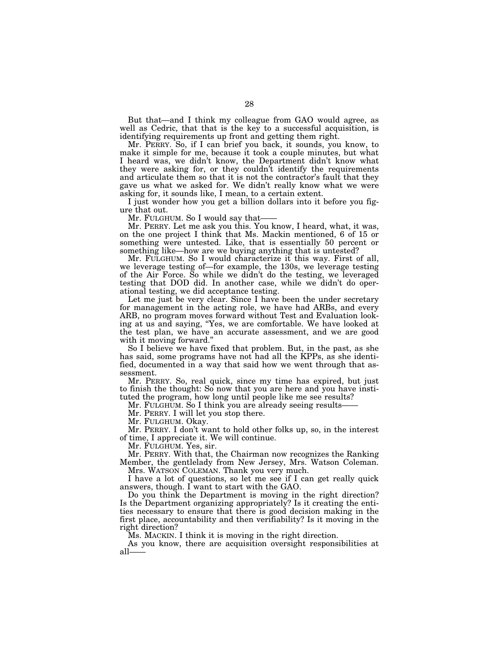But that—and I think my colleague from GAO would agree, as well as Cedric, that that is the key to a successful acquisition, is identifying requirements up front and getting them right.

Mr. PERRY. So, if I can brief you back, it sounds, you know, to make it simple for me, because it took a couple minutes, but what I heard was, we didn't know, the Department didn't know what they were asking for, or they couldn't identify the requirements and articulate them so that it is not the contractor's fault that they gave us what we asked for. We didn't really know what we were asking for, it sounds like, I mean, to a certain extent.

I just wonder how you get a billion dollars into it before you figure that out.

Mr. FULGHUM. So I would say that-

Mr. PERRY. Let me ask you this. You know, I heard, what, it was, on the one project I think that Ms. Mackin mentioned, 6 of 15 or something were untested. Like, that is essentially 50 percent or something like—how are we buying anything that is untested?

Mr. FULGHUM. So I would characterize it this way. First of all, we leverage testing of—for example, the 130s, we leverage testing of the Air Force. So while we didn't do the testing, we leveraged testing that DOD did. In another case, while we didn't do operational testing, we did acceptance testing.

Let me just be very clear. Since I have been the under secretary for management in the acting role, we have had ARBs, and every ARB, no program moves forward without Test and Evaluation looking at us and saying, ''Yes, we are comfortable. We have looked at the test plan, we have an accurate assessment, and we are good with it moving forward.''

So I believe we have fixed that problem. But, in the past, as she has said, some programs have not had all the KPPs, as she identified, documented in a way that said how we went through that assessment.

Mr. PERRY. So, real quick, since my time has expired, but just to finish the thought: So now that you are here and you have instituted the program, how long until people like me see results?

Mr. FULGHUM. So I think you are already seeing results—

Mr. PERRY. I will let you stop there.

Mr. FULGHUM. Okay.

Mr. PERRY. I don't want to hold other folks up, so, in the interest of time, I appreciate it. We will continue.

Mr. FULGHUM. Yes, sir.

Mr. PERRY. With that, the Chairman now recognizes the Ranking Member, the gentlelady from New Jersey, Mrs. Watson Coleman. Mrs. WATSON COLEMAN. Thank you very much.

I have a lot of questions, so let me see if I can get really quick answers, though. I want to start with the GAO.

Do you think the Department is moving in the right direction? Is the Department organizing appropriately? Is it creating the entities necessary to ensure that there is good decision making in the first place, accountability and then verifiability? Is it moving in the right direction?

Ms. MACKIN. I think it is moving in the right direction.

As you know, there are acquisition oversight responsibilities at all——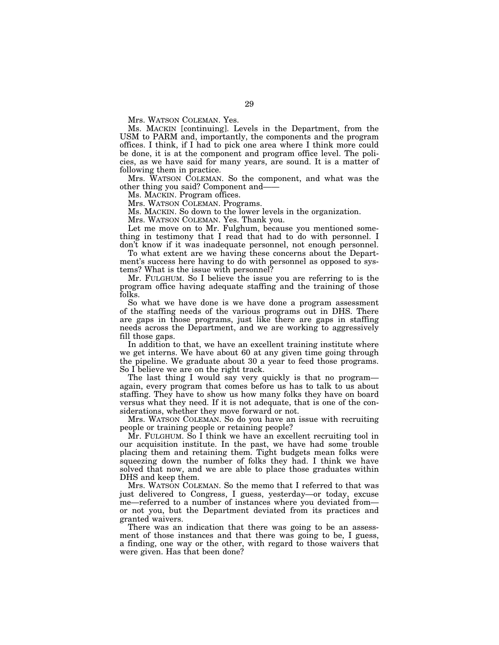Mrs. WATSON COLEMAN. Yes.

Ms. MACKIN [continuing]. Levels in the Department, from the USM to PARM and, importantly, the components and the program offices. I think, if I had to pick one area where I think more could be done, it is at the component and program office level. The policies, as we have said for many years, are sound. It is a matter of following them in practice.

Mrs. WATSON COLEMAN. So the component, and what was the other thing you said? Component and——

Ms. MACKIN. Program offices.

Mrs. WATSON COLEMAN. Programs.

Ms. MACKIN. So down to the lower levels in the organization.

Mrs. WATSON COLEMAN. Yes. Thank you.

Let me move on to Mr. Fulghum, because you mentioned something in testimony that I read that had to do with personnel. I don't know if it was inadequate personnel, not enough personnel.

To what extent are we having these concerns about the Department's success here having to do with personnel as opposed to systems? What is the issue with personnel?

Mr. FULGHUM. So I believe the issue you are referring to is the program office having adequate staffing and the training of those folks.

So what we have done is we have done a program assessment of the staffing needs of the various programs out in DHS. There are gaps in those programs, just like there are gaps in staffing needs across the Department, and we are working to aggressively fill those gaps.

In addition to that, we have an excellent training institute where we get interns. We have about 60 at any given time going through the pipeline. We graduate about 30 a year to feed those programs. So I believe we are on the right track.

The last thing I would say very quickly is that no program again, every program that comes before us has to talk to us about staffing. They have to show us how many folks they have on board versus what they need. If it is not adequate, that is one of the considerations, whether they move forward or not.

Mrs. WATSON COLEMAN. So do you have an issue with recruiting people or training people or retaining people?

Mr. FULGHUM. So I think we have an excellent recruiting tool in our acquisition institute. In the past, we have had some trouble placing them and retaining them. Tight budgets mean folks were squeezing down the number of folks they had. I think we have solved that now, and we are able to place those graduates within DHS and keep them.

Mrs. WATSON COLEMAN. So the memo that I referred to that was just delivered to Congress, I guess, yesterday—or today, excuse me—referred to a number of instances where you deviated from or not you, but the Department deviated from its practices and granted waivers.

There was an indication that there was going to be an assessment of those instances and that there was going to be, I guess, a finding, one way or the other, with regard to those waivers that were given. Has that been done?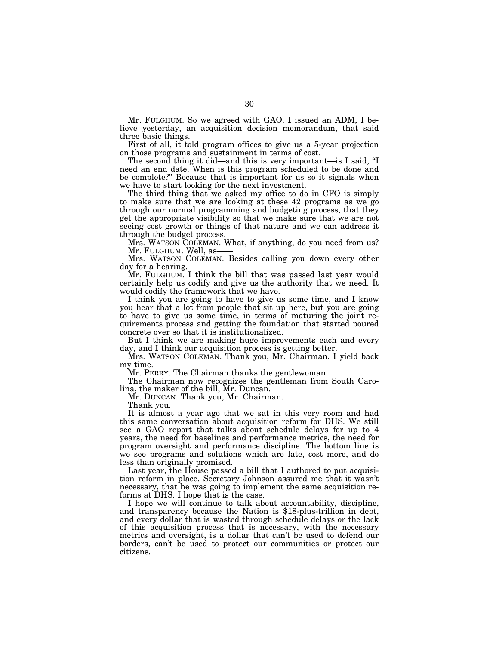Mr. FULGHUM. So we agreed with GAO. I issued an ADM, I believe yesterday, an acquisition decision memorandum, that said three basic things.

First of all, it told program offices to give us a 5-year projection on those programs and sustainment in terms of cost.

The second thing it did—and this is very important—is I said, ''I need an end date. When is this program scheduled to be done and be complete?'' Because that is important for us so it signals when we have to start looking for the next investment.

The third thing that we asked my office to do in CFO is simply to make sure that we are looking at these 42 programs as we go through our normal programming and budgeting process, that they get the appropriate visibility so that we make sure that we are not seeing cost growth or things of that nature and we can address it through the budget process.

Mrs. WATSON COLEMAN. What, if anything, do you need from us? Mr. FULGHUM. Well, as-

Mrs. WATSON COLEMAN. Besides calling you down every other day for a hearing.

Mr. FULGHUM. I think the bill that was passed last year would certainly help us codify and give us the authority that we need. It would codify the framework that we have.

I think you are going to have to give us some time, and I know you hear that a lot from people that sit up here, but you are going to have to give us some time, in terms of maturing the joint requirements process and getting the foundation that started poured concrete over so that it is institutionalized.

But I think we are making huge improvements each and every day, and I think our acquisition process is getting better.

Mrs. WATSON COLEMAN. Thank you, Mr. Chairman. I yield back my time.

Mr. PERRY. The Chairman thanks the gentlewoman.

The Chairman now recognizes the gentleman from South Carolina, the maker of the bill, Mr. Duncan.

Mr. DUNCAN. Thank you, Mr. Chairman.

Thank you.

It is almost a year ago that we sat in this very room and had this same conversation about acquisition reform for DHS. We still see a GAO report that talks about schedule delays for up to 4 years, the need for baselines and performance metrics, the need for program oversight and performance discipline. The bottom line is we see programs and solutions which are late, cost more, and do less than originally promised.

Last year, the House passed a bill that I authored to put acquisition reform in place. Secretary Johnson assured me that it wasn't necessary, that he was going to implement the same acquisition reforms at DHS. I hope that is the case.<br>I hope we will continue to talk about accountability, discipline,

and transparency because the Nation is \$18-plus-trillion in debt, and every dollar that is wasted through schedule delays or the lack of this acquisition process that is necessary, with the necessary metrics and oversight, is a dollar that can't be used to defend our borders, can't be used to protect our communities or protect our citizens.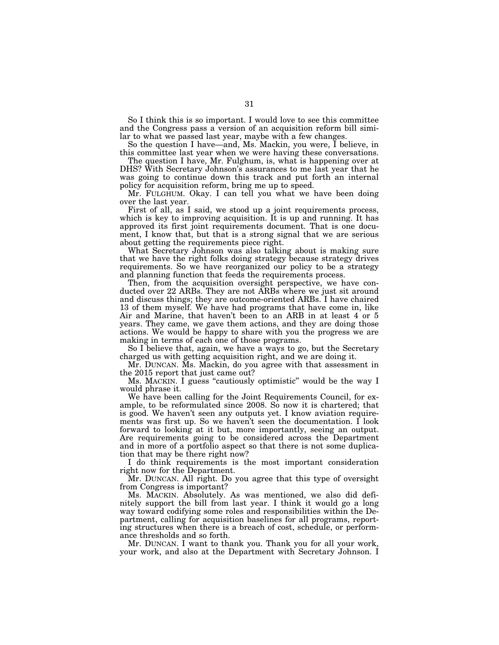So I think this is so important. I would love to see this committee and the Congress pass a version of an acquisition reform bill similar to what we passed last year, maybe with a few changes.

So the question I have—and, Ms. Mackin, you were, I believe, in this committee last year when we were having these conversations.

The question I have, Mr. Fulghum, is, what is happening over at DHS? With Secretary Johnson's assurances to me last year that he was going to continue down this track and put forth an internal policy for acquisition reform, bring me up to speed.

Mr. FULGHUM. Okay. I can tell you what we have been doing over the last year.

First of all, as I said, we stood up a joint requirements process, which is key to improving acquisition. It is up and running. It has approved its first joint requirements document. That is one document, I know that, but that is a strong signal that we are serious about getting the requirements piece right.

What Secretary Johnson was also talking about is making sure that we have the right folks doing strategy because strategy drives requirements. So we have reorganized our policy to be a strategy and planning function that feeds the requirements process.

Then, from the acquisition oversight perspective, we have conducted over 22 ARBs. They are not ARBs where we just sit around and discuss things; they are outcome-oriented ARBs. I have chaired 13 of them myself. We have had programs that have come in, like Air and Marine, that haven't been to an ARB in at least 4 or 5 years. They came, we gave them actions, and they are doing those actions. We would be happy to share with you the progress we are making in terms of each one of those programs.

So I believe that, again, we have a ways to go, but the Secretary charged us with getting acquisition right, and we are doing it.

Mr. DUNCAN. Ms. Mackin, do you agree with that assessment in the 2015 report that just came out?

Ms. MACKIN. I guess "cautiously optimistic" would be the way I would phrase it.

We have been calling for the Joint Requirements Council, for example, to be reformulated since 2008. So now it is chartered; that is good. We haven't seen any outputs yet. I know aviation requirements was first up. So we haven't seen the documentation. I look forward to looking at it but, more importantly, seeing an output. Are requirements going to be considered across the Department and in more of a portfolio aspect so that there is not some duplication that may be there right now?

I do think requirements is the most important consideration right now for the Department.

Mr. DUNCAN. All right. Do you agree that this type of oversight from Congress is important?

Ms. MACKIN. Absolutely. As was mentioned, we also did definitely support the bill from last year. I think it would go a long way toward codifying some roles and responsibilities within the Department, calling for acquisition baselines for all programs, reporting structures when there is a breach of cost, schedule, or performance thresholds and so forth.

Mr. DUNCAN. I want to thank you. Thank you for all your work, your work, and also at the Department with Secretary Johnson. I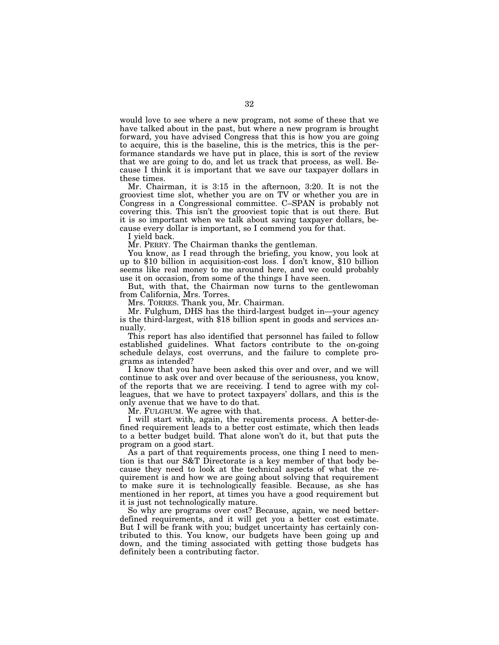would love to see where a new program, not some of these that we have talked about in the past, but where a new program is brought forward, you have advised Congress that this is how you are going to acquire, this is the baseline, this is the metrics, this is the performance standards we have put in place, this is sort of the review that we are going to do, and let us track that process, as well. Because I think it is important that we save our taxpayer dollars in these times.

Mr. Chairman, it is 3:15 in the afternoon, 3:20. It is not the grooviest time slot, whether you are on TV or whether you are in Congress in a Congressional committee. C–SPAN is probably not covering this. This isn't the grooviest topic that is out there. But it is so important when we talk about saving taxpayer dollars, because every dollar is important, so I commend you for that.

I yield back.

Mr. PERRY. The Chairman thanks the gentleman.

You know, as I read through the briefing, you know, you look at up to \$10 billion in acquisition-cost loss. I don't know, \$10 billion seems like real money to me around here, and we could probably use it on occasion, from some of the things I have seen.

But, with that, the Chairman now turns to the gentlewoman from California, Mrs. Torres.

Mrs. TORRES. Thank you, Mr. Chairman.

Mr. Fulghum, DHS has the third-largest budget in—your agency is the third-largest, with \$18 billion spent in goods and services annually.

This report has also identified that personnel has failed to follow established guidelines. What factors contribute to the on-going schedule delays, cost overruns, and the failure to complete programs as intended?

I know that you have been asked this over and over, and we will continue to ask over and over because of the seriousness, you know, of the reports that we are receiving. I tend to agree with my colleagues, that we have to protect taxpayers' dollars, and this is the only avenue that we have to do that.

Mr. FULGHUM. We agree with that.

I will start with, again, the requirements process. A better-defined requirement leads to a better cost estimate, which then leads to a better budget build. That alone won't do it, but that puts the program on a good start.

As a part of that requirements process, one thing I need to mention is that our S&T Directorate is a key member of that body because they need to look at the technical aspects of what the requirement is and how we are going about solving that requirement to make sure it is technologically feasible. Because, as she has mentioned in her report, at times you have a good requirement but it is just not technologically mature.

So why are programs over cost? Because, again, we need betterdefined requirements, and it will get you a better cost estimate. But I will be frank with you; budget uncertainty has certainly contributed to this. You know, our budgets have been going up and down, and the timing associated with getting those budgets has definitely been a contributing factor.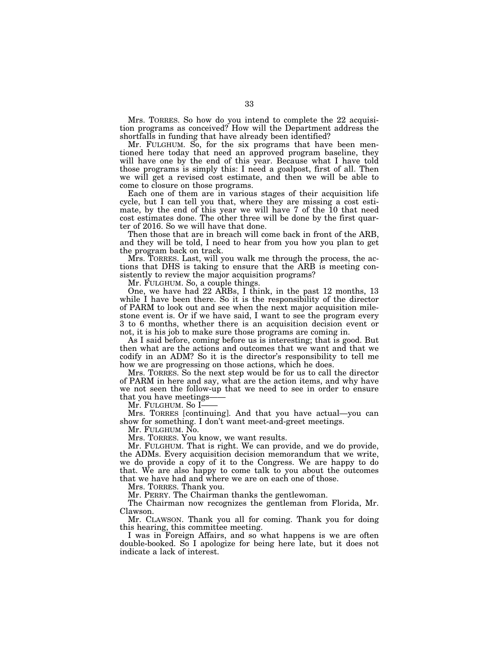Mrs. TORRES. So how do you intend to complete the 22 acquisition programs as conceived? How will the Department address the shortfalls in funding that have already been identified?

Mr. FULGHUM. So, for the six programs that have been mentioned here today that need an approved program baseline, they will have one by the end of this year. Because what I have told those programs is simply this: I need a goalpost, first of all. Then we will get a revised cost estimate, and then we will be able to come to closure on those programs.

Each one of them are in various stages of their acquisition life cycle, but I can tell you that, where they are missing a cost estimate, by the end of this year we will have 7 of the 10 that need cost estimates done. The other three will be done by the first quarter of 2016. So we will have that done.

Then those that are in breach will come back in front of the ARB, and they will be told, I need to hear from you how you plan to get the program back on track.

Mrs. TORRES. Last, will you walk me through the process, the actions that DHS is taking to ensure that the ARB is meeting consistently to review the major acquisition programs?

Mr. FULGHUM. So, a couple things.

One, we have had 22 ARBs, I think, in the past 12 months, 13 while I have been there. So it is the responsibility of the director of PARM to look out and see when the next major acquisition milestone event is. Or if we have said, I want to see the program every 3 to 6 months, whether there is an acquisition decision event or not, it is his job to make sure those programs are coming in.

As I said before, coming before us is interesting; that is good. But then what are the actions and outcomes that we want and that we codify in an ADM? So it is the director's responsibility to tell me how we are progressing on those actions, which he does.

Mrs. TORRES. So the next step would be for us to call the director of PARM in here and say, what are the action items, and why have we not seen the follow-up that we need to see in order to ensure that you have meetings——

Mr. Fulghum. So I-

Mrs. TORRES [continuing]. And that you have actual—you can show for something. I don't want meet-and-greet meetings.

Mr. FULGHUM. No.

Mrs. TORRES. You know, we want results.

Mr. FULGHUM. That is right. We can provide, and we do provide, the ADMs. Every acquisition decision memorandum that we write, we do provide a copy of it to the Congress. We are happy to do that. We are also happy to come talk to you about the outcomes that we have had and where we are on each one of those.

Mrs. TORRES. Thank you.

Mr. PERRY. The Chairman thanks the gentlewoman.

The Chairman now recognizes the gentleman from Florida, Mr. Clawson.

Mr. CLAWSON. Thank you all for coming. Thank you for doing this hearing, this committee meeting.

I was in Foreign Affairs, and so what happens is we are often double-booked. So I apologize for being here late, but it does not indicate a lack of interest.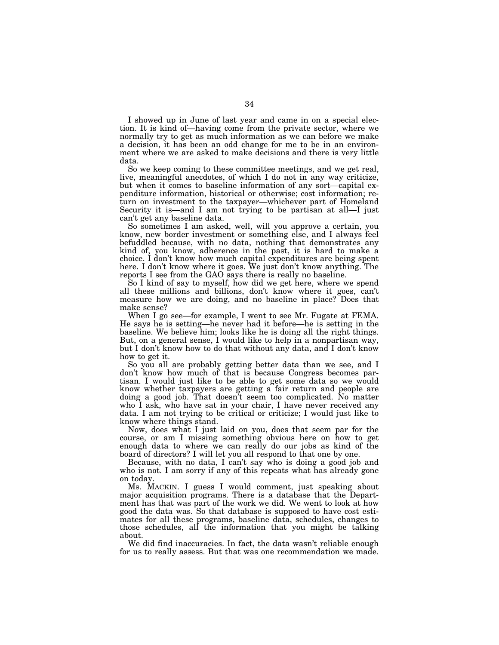I showed up in June of last year and came in on a special election. It is kind of—having come from the private sector, where we normally try to get as much information as we can before we make a decision, it has been an odd change for me to be in an environment where we are asked to make decisions and there is very little data.

So we keep coming to these committee meetings, and we get real, live, meaningful anecdotes, of which I do not in any way criticize, but when it comes to baseline information of any sort—capital expenditure information, historical or otherwise; cost information; return on investment to the taxpayer—whichever part of Homeland Security it is—and I am not trying to be partisan at all—I just can't get any baseline data.

So sometimes I am asked, well, will you approve a certain, you know, new border investment or something else, and I always feel befuddled because, with no data, nothing that demonstrates any kind of, you know, adherence in the past, it is hard to make a choice. I don't know how much capital expenditures are being spent here. I don't know where it goes. We just don't know anything. The reports I see from the GAO says there is really no baseline.

So I kind of say to myself, how did we get here, where we spend all these millions and billions, don't know where it goes, can't measure how we are doing, and no baseline in place? Does that make sense?

When I go see—for example, I went to see Mr. Fugate at FEMA. He says he is setting—he never had it before—he is setting in the baseline. We believe him; looks like he is doing all the right things. But, on a general sense, I would like to help in a nonpartisan way, but I don't know how to do that without any data, and I don't know how to get it.

So you all are probably getting better data than we see, and I don't know how much of that is because Congress becomes partisan. I would just like to be able to get some data so we would know whether taxpayers are getting a fair return and people are doing a good job. That doesn't seem too complicated. No matter who I ask, who have sat in your chair, I have never received any data. I am not trying to be critical or criticize; I would just like to know where things stand.

Now, does what I just laid on you, does that seem par for the course, or am I missing something obvious here on how to get enough data to where we can really do our jobs as kind of the board of directors? I will let you all respond to that one by one.

Because, with no data, I can't say who is doing a good job and who is not. I am sorry if any of this repeats what has already gone on today.

Ms. MACKIN. I guess I would comment, just speaking about major acquisition programs. There is a database that the Department has that was part of the work we did. We went to look at how good the data was. So that database is supposed to have cost estimates for all these programs, baseline data, schedules, changes to those schedules, all the information that you might be talking about.

We did find inaccuracies. In fact, the data wasn't reliable enough for us to really assess. But that was one recommendation we made.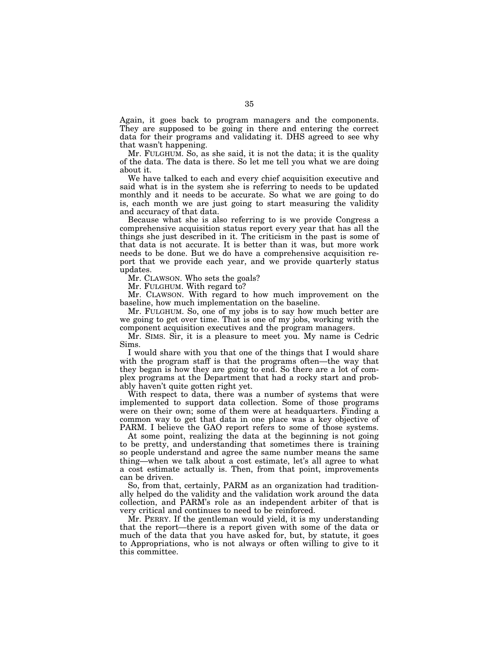Again, it goes back to program managers and the components. They are supposed to be going in there and entering the correct data for their programs and validating it. DHS agreed to see why that wasn't happening.

Mr. FULGHUM. So, as she said, it is not the data; it is the quality of the data. The data is there. So let me tell you what we are doing about it.

We have talked to each and every chief acquisition executive and said what is in the system she is referring to needs to be updated monthly and it needs to be accurate. So what we are going to do is, each month we are just going to start measuring the validity and accuracy of that data.

Because what she is also referring to is we provide Congress a comprehensive acquisition status report every year that has all the things she just described in it. The criticism in the past is some of that data is not accurate. It is better than it was, but more work needs to be done. But we do have a comprehensive acquisition report that we provide each year, and we provide quarterly status updates.

Mr. CLAWSON. Who sets the goals?

Mr. FULGHUM. With regard to?

Mr. CLAWSON. With regard to how much improvement on the baseline, how much implementation on the baseline.

Mr. FULGHUM. So, one of my jobs is to say how much better are we going to get over time. That is one of my jobs, working with the component acquisition executives and the program managers.

Mr. SIMS. Sir, it is a pleasure to meet you. My name is Cedric Sims.

I would share with you that one of the things that I would share with the program staff is that the programs often—the way that they began is how they are going to end. So there are a lot of complex programs at the Department that had a rocky start and probably haven't quite gotten right yet.

With respect to data, there was a number of systems that were implemented to support data collection. Some of those programs were on their own; some of them were at headquarters. Finding a common way to get that data in one place was a key objective of PARM. I believe the GAO report refers to some of those systems.

At some point, realizing the data at the beginning is not going to be pretty, and understanding that sometimes there is training so people understand and agree the same number means the same thing—when we talk about a cost estimate, let's all agree to what a cost estimate actually is. Then, from that point, improvements can be driven.

So, from that, certainly, PARM as an organization had traditionally helped do the validity and the validation work around the data collection, and PARM's role as an independent arbiter of that is very critical and continues to need to be reinforced.

Mr. PERRY. If the gentleman would yield, it is my understanding that the report—there is a report given with some of the data or much of the data that you have asked for, but, by statute, it goes to Appropriations, who is not always or often willing to give to it this committee.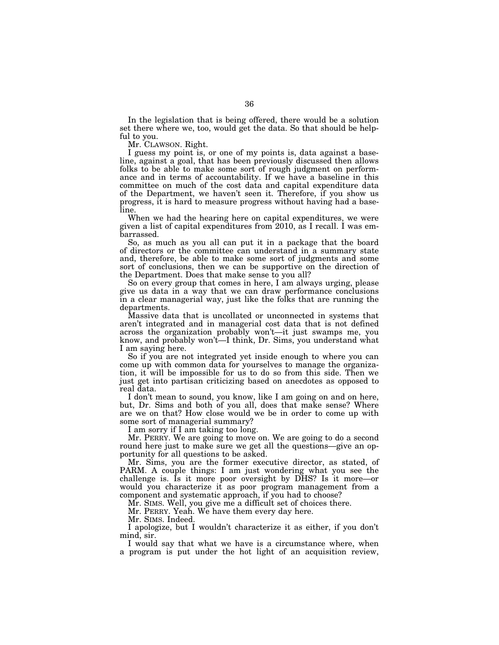In the legislation that is being offered, there would be a solution set there where we, too, would get the data. So that should be helpful to you.

Mr. CLAWSON. Right.

I guess my point is, or one of my points is, data against a baseline, against a goal, that has been previously discussed then allows folks to be able to make some sort of rough judgment on performance and in terms of accountability. If we have a baseline in this committee on much of the cost data and capital expenditure data of the Department, we haven't seen it. Therefore, if you show us progress, it is hard to measure progress without having had a baseline.

When we had the hearing here on capital expenditures, we were given a list of capital expenditures from 2010, as I recall. I was embarrassed.

So, as much as you all can put it in a package that the board of directors or the committee can understand in a summary state and, therefore, be able to make some sort of judgments and some sort of conclusions, then we can be supportive on the direction of the Department. Does that make sense to you all?

So on every group that comes in here, I am always urging, please give us data in a way that we can draw performance conclusions in a clear managerial way, just like the folks that are running the departments.

Massive data that is uncollated or unconnected in systems that aren't integrated and in managerial cost data that is not defined across the organization probably won't—it just swamps me, you know, and probably won't—I think, Dr. Sims, you understand what I am saying here.

So if you are not integrated yet inside enough to where you can come up with common data for yourselves to manage the organization, it will be impossible for us to do so from this side. Then we just get into partisan criticizing based on anecdotes as opposed to real data.

I don't mean to sound, you know, like I am going on and on here, but, Dr. Sims and both of you all, does that make sense? Where are we on that? How close would we be in order to come up with some sort of managerial summary?

I am sorry if I am taking too long.

Mr. PERRY. We are going to move on. We are going to do a second round here just to make sure we get all the questions—give an opportunity for all questions to be asked.

Mr. Sims, you are the former executive director, as stated, of PARM. A couple things: I am just wondering what you see the challenge is. Is it more poor oversight by DHS? Is it more—or would you characterize it as poor program management from a component and systematic approach, if you had to choose?

Mr. SIMS. Well, you give me a difficult set of choices there.

Mr. PERRY. Yeah. We have them every day here.

Mr. SIMS. Indeed.

I apologize, but I wouldn't characterize it as either, if you don't mind, sir.

I would say that what we have is a circumstance where, when a program is put under the hot light of an acquisition review,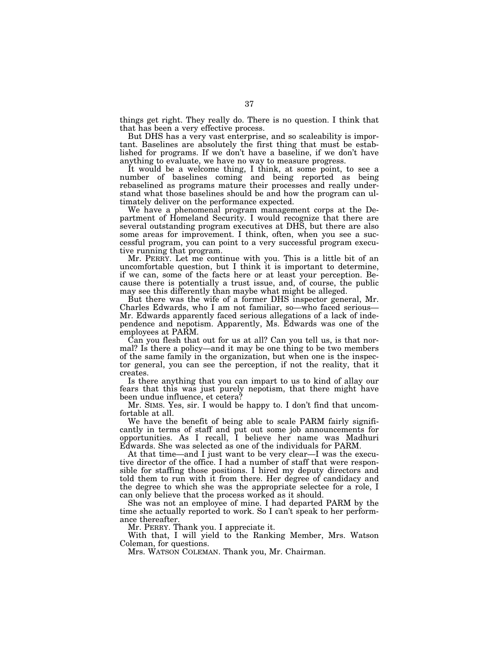things get right. They really do. There is no question. I think that that has been a very effective process.

But DHS has a very vast enterprise, and so scaleability is important. Baselines are absolutely the first thing that must be established for programs. If we don't have a baseline, if we don't have anything to evaluate, we have no way to measure progress.

It would be a welcome thing, I think, at some point, to see a number of baselines coming and being reported as being rebaselined as programs mature their processes and really understand what those baselines should be and how the program can ultimately deliver on the performance expected.

We have a phenomenal program management corps at the Department of Homeland Security. I would recognize that there are several outstanding program executives at DHS, but there are also some areas for improvement. I think, often, when you see a successful program, you can point to a very successful program executive running that program.

Mr. PERRY. Let me continue with you. This is a little bit of an uncomfortable question, but I think it is important to determine, if we can, some of the facts here or at least your perception. Because there is potentially a trust issue, and, of course, the public may see this differently than maybe what might be alleged.

But there was the wife of a former DHS inspector general, Mr. Charles Edwards, who I am not familiar, so—who faced serious— Mr. Edwards apparently faced serious allegations of a lack of independence and nepotism. Apparently, Ms. Edwards was one of the employees at PARM.

Can you flesh that out for us at all? Can you tell us, is that normal? Is there a policy—and it may be one thing to be two members of the same family in the organization, but when one is the inspector general, you can see the perception, if not the reality, that it creates.

Is there anything that you can impart to us to kind of allay our fears that this was just purely nepotism, that there might have been undue influence, et cetera?

Mr. SIMS. Yes, sir. I would be happy to. I don't find that uncomfortable at all.

We have the benefit of being able to scale PARM fairly significantly in terms of staff and put out some job announcements for opportunities. As I recall, I believe her name was Madhuri Edwards. She was selected as one of the individuals for PARM.

At that time—and I just want to be very clear—I was the executive director of the office. I had a number of staff that were responsible for staffing those positions. I hired my deputy directors and told them to run with it from there. Her degree of candidacy and the degree to which she was the appropriate selectee for a role, I can only believe that the process worked as it should.

She was not an employee of mine. I had departed PARM by the time she actually reported to work. So I can't speak to her performance thereafter.

Mr. PERRY. Thank you. I appreciate it.

With that, I will yield to the Ranking Member, Mrs. Watson Coleman, for questions.

Mrs. WATSON COLEMAN. Thank you, Mr. Chairman.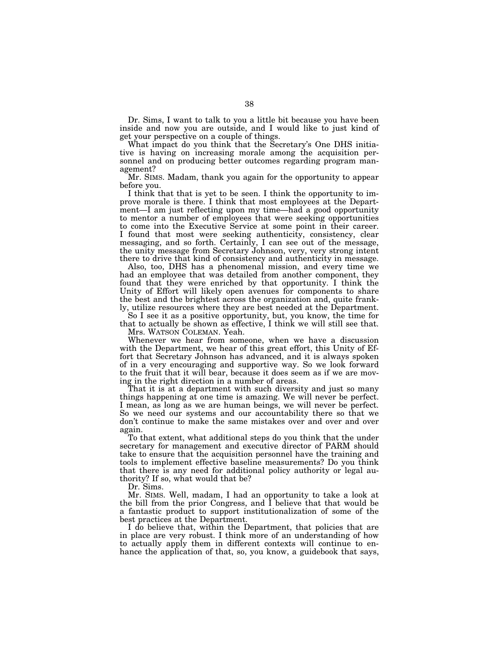Dr. Sims, I want to talk to you a little bit because you have been inside and now you are outside, and I would like to just kind of get your perspective on a couple of things.

What impact do you think that the Secretary's One DHS initiative is having on increasing morale among the acquisition personnel and on producing better outcomes regarding program management?

Mr. SIMS. Madam, thank you again for the opportunity to appear before you.

I think that that is yet to be seen. I think the opportunity to improve morale is there. I think that most employees at the Department—I am just reflecting upon my time—had a good opportunity to mentor a number of employees that were seeking opportunities to come into the Executive Service at some point in their career. I found that most were seeking authenticity, consistency, clear messaging, and so forth. Certainly, I can see out of the message, the unity message from Secretary Johnson, very, very strong intent there to drive that kind of consistency and authenticity in message.

Also, too, DHS has a phenomenal mission, and every time we had an employee that was detailed from another component, they found that they were enriched by that opportunity. I think the Unity of Effort will likely open avenues for components to share the best and the brightest across the organization and, quite frankly, utilize resources where they are best needed at the Department.

So I see it as a positive opportunity, but, you know, the time for that to actually be shown as effective, I think we will still see that.

Mrs. WATSON COLEMAN. Yeah.

Whenever we hear from someone, when we have a discussion with the Department, we hear of this great effort, this Unity of Effort that Secretary Johnson has advanced, and it is always spoken of in a very encouraging and supportive way. So we look forward to the fruit that it will bear, because it does seem as if we are moving in the right direction in a number of areas.

That it is at a department with such diversity and just so many things happening at one time is amazing. We will never be perfect. I mean, as long as we are human beings, we will never be perfect. So we need our systems and our accountability there so that we don't continue to make the same mistakes over and over and over again.

To that extent, what additional steps do you think that the under secretary for management and executive director of PARM should take to ensure that the acquisition personnel have the training and tools to implement effective baseline measurements? Do you think that there is any need for additional policy authority or legal authority? If so, what would that be?

Dr. Sims.

Mr. SIMS. Well, madam, I had an opportunity to take a look at the bill from the prior Congress, and I believe that that would be a fantastic product to support institutionalization of some of the best practices at the Department.

I do believe that, within the Department, that policies that are in place are very robust. I think more of an understanding of how to actually apply them in different contexts will continue to enhance the application of that, so, you know, a guidebook that says,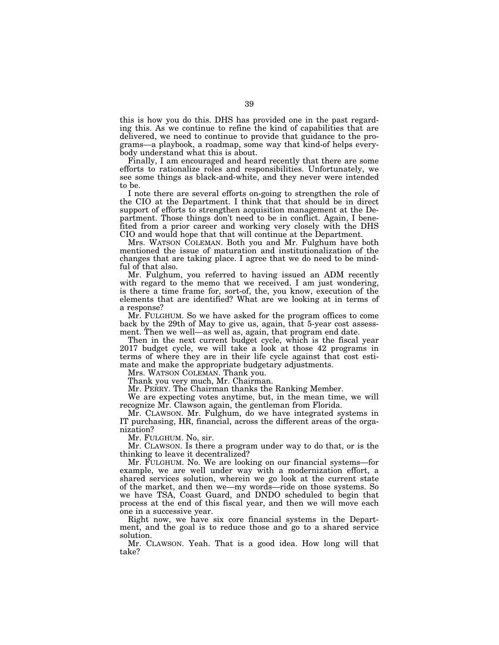this is how you do this. DHS has provided one in the past regarding this. As we continue to refine the kind of capabilities that are delivered, we need to continue to provide that guidance to the programs—a playbook, a roadmap, some way that kind-of helps everybody understand what this is about.

Finally, I am encouraged and heard recently that there are some efforts to rationalize roles and responsibilities. Unfortunately, we see some things as black-and-white, and they never were intended to be.

I note there are several efforts on-going to strengthen the role of the CIO at the Department. I think that that should be in direct support of efforts to strengthen acquisition management at the Department. Those things don't need to be in conflict. Again, I benefited from a prior career and working very closely with the DHS CIO and would hope that that will continue at the Department.

Mrs. WATSON COLEMAN. Both you and Mr. Fulghum have both mentioned the issue of maturation and institutionalization of the changes that are taking place. I agree that we do need to be mindful of that also.

Mr. Fulghum, you referred to having issued an ADM recently with regard to the memo that we received. I am just wondering, is there a time frame for, sort-of, the, you know, execution of the elements that are identified? What are we looking at in terms of a response?

Mr. FULGHUM. So we have asked for the program offices to come back by the 29th of May to give us, again, that 5-year cost assessment. Then we well—as well as, again, that program end date.

Then in the next current budget cycle, which is the fiscal year 2017 budget cycle, we will take a look at those 42 programs in terms of where they are in their life cycle against that cost estimate and make the appropriate budgetary adjustments.

Mrs. WATSON COLEMAN. Thank you.

Thank you very much, Mr. Chairman.

Mr. PERRY. The Chairman thanks the Ranking Member.

We are expecting votes anytime, but, in the mean time, we will recognize Mr. Clawson again, the gentleman from Florida.

Mr. CLAWSON. Mr. Fulghum, do we have integrated systems in IT purchasing, HR, financial, across the different areas of the organization?

Mr. FULGHUM. No, sir.

Mr. CLAWSON. Is there a program under way to do that, or is the thinking to leave it decentralized?

Mr. FULGHUM. No. We are looking on our financial systems—for example, we are well under way with a modernization effort, a shared services solution, wherein we go look at the current state of the market, and then we—my words—ride on those systems. So we have TSA, Coast Guard, and DNDO scheduled to begin that process at the end of this fiscal year, and then we will move each one in a successive year.

Right now, we have six core financial systems in the Department, and the goal is to reduce those and go to a shared service solution.

Mr. CLAWSON. Yeah. That is a good idea. How long will that take?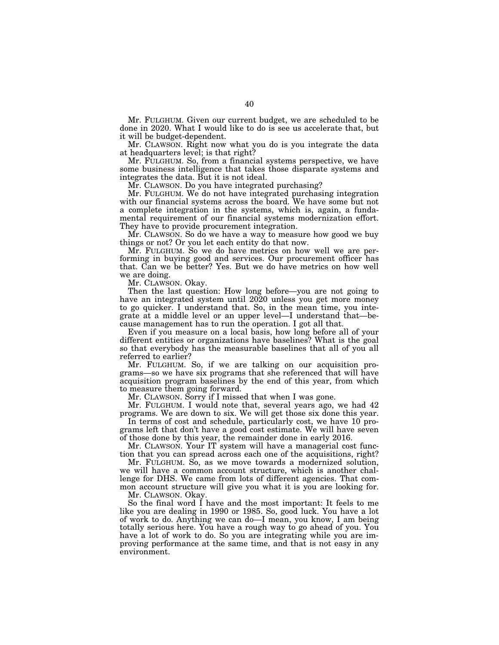Mr. FULGHUM. Given our current budget, we are scheduled to be done in 2020. What I would like to do is see us accelerate that, but it will be budget-dependent.

Mr. CLAWSON. Right now what you do is you integrate the data at headquarters level; is that right?

Mr. FULGHUM. So, from a financial systems perspective, we have some business intelligence that takes those disparate systems and integrates the data. But it is not ideal.

Mr. CLAWSON. Do you have integrated purchasing?

Mr. FULGHUM. We do not have integrated purchasing integration with our financial systems across the board. We have some but not a complete integration in the systems, which is, again, a fundamental requirement of our financial systems modernization effort. They have to provide procurement integration.

Mr. CLAWSON. So do we have a way to measure how good we buy things or not? Or you let each entity do that now.

Mr. FULGHUM. So we do have metrics on how well we are performing in buying good and services. Our procurement officer has that. Can we be better? Yes. But we do have metrics on how well we are doing.

Mr. CLAWSON. Okay.

Then the last question: How long before—you are not going to have an integrated system until 2020 unless you get more money to go quicker. I understand that. So, in the mean time, you integrate at a middle level or an upper level—I understand that—because management has to run the operation. I got all that.

Even if you measure on a local basis, how long before all of your different entities or organizations have baselines? What is the goal so that everybody has the measurable baselines that all of you all referred to earlier?

Mr. FULGHUM. So, if we are talking on our acquisition programs—so we have six programs that she referenced that will have acquisition program baselines by the end of this year, from which to measure them going forward.

Mr. CLAWSON. Sorry if I missed that when I was gone.

Mr. FULGHUM. I would note that, several years ago, we had 42 programs. We are down to six. We will get those six done this year.

In terms of cost and schedule, particularly cost, we have 10 programs left that don't have a good cost estimate. We will have seven of those done by this year, the remainder done in early 2016.

Mr. CLAWSON. Your IT system will have a managerial cost function that you can spread across each one of the acquisitions, right?

Mr. FULGHUM. So, as we move towards a modernized solution, we will have a common account structure, which is another challenge for DHS. We came from lots of different agencies. That common account structure will give you what it is you are looking for.

Mr. CLAWSON. Okay.

So the final word I have and the most important: It feels to me like you are dealing in 1990 or 1985. So, good luck. You have a lot of work to do. Anything we can do—I mean, you know, I am being totally serious here. You have a rough way to go ahead of you. You have a lot of work to do. So you are integrating while you are improving performance at the same time, and that is not easy in any environment.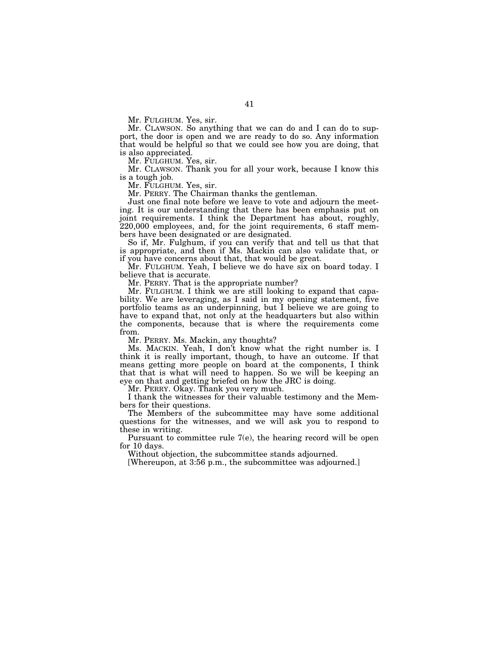Mr. FULGHUM. Yes, sir.

Mr. CLAWSON. So anything that we can do and I can do to support, the door is open and we are ready to do so. Any information that would be helpful so that we could see how you are doing, that is also appreciated.

Mr. FULGHUM. Yes, sir.

Mr. CLAWSON. Thank you for all your work, because I know this is a tough job.

Mr. FULGHUM. Yes, sir.

Mr. PERRY. The Chairman thanks the gentleman.

Just one final note before we leave to vote and adjourn the meeting. It is our understanding that there has been emphasis put on joint requirements. I think the Department has about, roughly, 220,000 employees, and, for the joint requirements, 6 staff members have been designated or are designated.

So if, Mr. Fulghum, if you can verify that and tell us that that is appropriate, and then if Ms. Mackin can also validate that, or if you have concerns about that, that would be great.

Mr. FULGHUM. Yeah, I believe we do have six on board today. I believe that is accurate.

Mr. PERRY. That is the appropriate number?

Mr. FULGHUM. I think we are still looking to expand that capability. We are leveraging, as I said in my opening statement, five portfolio teams as an underpinning, but I believe we are going to have to expand that, not only at the headquarters but also within the components, because that is where the requirements come from.

Mr. PERRY. Ms. Mackin, any thoughts?

Ms. MACKIN. Yeah, I don't know what the right number is. I think it is really important, though, to have an outcome. If that means getting more people on board at the components, I think that that is what will need to happen. So we will be keeping an eye on that and getting briefed on how the JRC is doing.

Mr. PERRY. Okay. Thank you very much.

I thank the witnesses for their valuable testimony and the Members for their questions.

The Members of the subcommittee may have some additional questions for the witnesses, and we will ask you to respond to these in writing.

Pursuant to committee rule 7(e), the hearing record will be open for 10 days.

Without objection, the subcommittee stands adjourned.

[Whereupon, at 3:56 p.m., the subcommittee was adjourned.]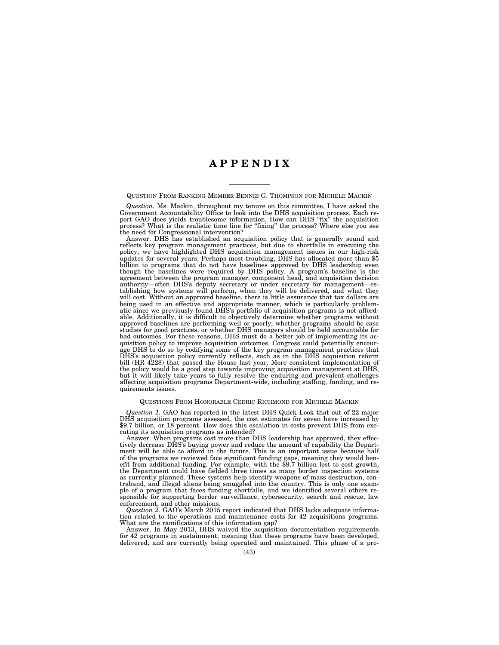# **A P P E N D I X**

QUESTION FROM RANKING MEMBER BENNIE G. THOMPSON FOR MICHELE MACKIN

*Question.* Ms. Mackin, throughout my tenure on this committee, I have asked the Government Accountability Office to look into the DHS acquisition process. Each report GAO does yields troublesome information. How can DHS ''fix'' the acquisition process? What is the realistic time line for ''fixing'' the process? Where else you see the need for Congressional intervention?

Answer. DHS has established an acquisition policy that is generally sound and reflects key program management practices, but due to shortfalls in executing the policy, we have highlighted DHS acquisition management issues in our high-risk updates for several years. Perhaps most troubling, DHS has allocated more than \$5 billion to programs that do not have baselines approved by DHS leadership even though the baselines were required by DHS policy. A program's baseline is the agreement between the program manager, component head, and acquisition decision authority—often DHS's deputy secretary or under secretary for management—establishing how systems will perform, when they will be delivered, and what they will cost. Without an approved baseline, there is little assurance that tax dollars are being used in an effective and appropriate manner, which is particularly problematic since we previously found DHS's portfolio of acquisition programs is not affordable. Additionally, it is difficult to objectively determine whether programs without approved baselines are performing well or poorly; whether programs should be case studies for good practices, or whether DHS managers should be held accountable for bad outcomes. For these reasons, DHS must do a better job of implementing its acquisition policy to improve acquisition outcomes. Congress could potentially encourage DHS to do so by codifying some of the key program management practices that DHS's acquisition policy currently reflects, such as in the DHS acquisition reform bill (HR 4228) that passed the House last year. More consistent implementation of the policy would be a good step towards improving acquisition management at DHS, but it will likely take years to fully resolve the enduring and prevalent challenges affecting acquisition programs Department-wide, including staffing, funding, and requirements issues.

#### QUESTIONS FROM HONORABLE CEDRIC RICHMOND FOR MICHELE MACKIN

*Question 1.* GAO has reported in the latest DHS Quick Look that out of 22 major DHS acquisition programs assessed, the cost estimates for seven have increased by \$9.7 billion, or 18 percent. How does this escalation in costs prevent DHS from executing its acquisition programs as intended?

Answer. When programs cost more than DHS leadership has approved, they effectively decrease DHS's buying power and reduce the amount of capability the Department will be able to afford in the future. This is an important issue because half of the programs we reviewed face significant funding gaps, meaning they would benefit from additional funding. For example, with the \$9.7 billion lost to cost growth, the Department could have fielded three times as many border inspection systems as currently planned. These systems help identify weapons of mass destruction, contraband, and illegal aliens being smuggled into the country. This is only one example of a program that faces funding shortfalls, and we identified several others responsible for supporting border surveillance, cybersecurity, search and rescue, law enforcement, and other missions.

*Question 2.* GAO's March 2015 report indicated that DHS lacks adequate information related to the operations and maintenance costs for 42 acquisitions programs. What are the ramifications of this information gap?

Answer. In May 2013, DHS waived the acquisition documentation requirements for 42 programs in sustainment, meaning that these programs have been developed, delivered, and are currently being operated and maintained. This phase of a pro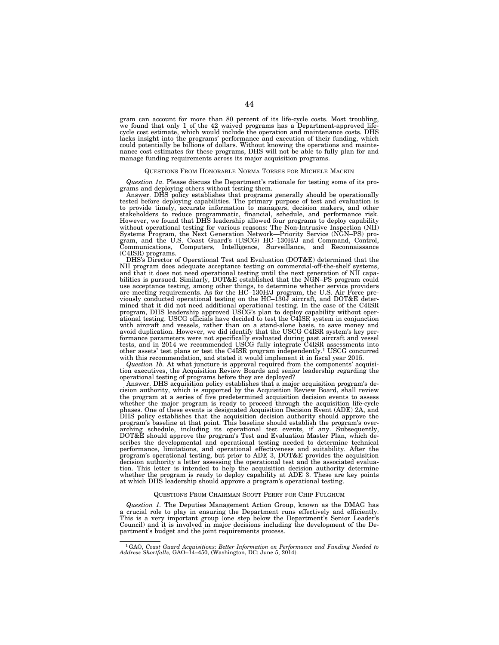gram can account for more than 80 percent of its life-cycle costs. Most troubling, we found that only 1 of the 42 waived programs has a Department-approved lifecycle cost estimate, which would include the operation and maintenance costs. DHS lacks insight into the programs' performance and execution of their funding, which could potentially be billions of dollars. Without knowing the operations and maintenance cost estimates for these programs, DHS will not be able to fully plan for and manage funding requirements across its major acquisition programs.

#### QUESTIONS FROM HONORABLE NORMA TORRES FOR MICHELE MACKIN

*Question 1a.* Please discuss the Department's rationale for testing some of its programs and deploying others without testing them.

Answer. DHS policy establishes that programs generally should be operationally tested before deploying capabilities. The primary purpose of test and evaluation is to provide timely, accurate information to managers, decision makers, and other stakeholders to reduce programmatic, financial, schedule, and performance risk. However, we found that DHS leadership allowed four programs to deploy capability without operational testing for various reasons: The Non-Intrusive Inspection (NII) Systems Program, the Next Generation Network—Priority Service (NGN–PS) program, and the U.S. Coast Guard's (USCG) HC–130H/J and Command, Control, Communications, Computers, Intelligence, Surveillance, and Reconnaissance (C4ISR) programs.

DHS's Director of Operational Test and Evaluation (DOT&E) determined that the NII program does adequate acceptance testing on commercial-off-the-shelf systems, and that it does not need operational testing until the next generation of NII capabilities is pursued. Similarly, DOT&E established that the NGN–PS program could use acceptance testing, among other things, to determine whether service providers are meeting requirements. As for the HC–130H/J program, the U.S. Air Force previously conducted operational testing on the HC–130J aircraft, and DOT&E determined that it did not need additional operational testing. In the case of the C4ISR program, DHS leadership approved USCG's plan to deploy capability without operational testing. USCG officials have decided to test the C4ISR system in conjunction with aircraft and vessels, rather than on a stand-alone basis, to save money and avoid duplication. However, we did identify that the USCG C4ISR system's key performance parameters were not specifically evaluated during past aircraft and vessel tests, and in 2014 we recommended USCG fully integrate C4ISR assessments into other assets' test plans or test the C4ISR program independently.<sup>1</sup> USCG concurred with this recommendation, and stated it would implement it i

*Question 1b.* At what juncture is approval required from the components' acquisition executives, the Acquisition Review Boards and senior leadership regarding the operational testing of programs before they are deployed?

Answer. DHS acquisition policy establishes that a major acquisition program's decision authority, which is supported by the Acquisition Review Board, shall review the program at a series of five predetermined acquisition decision events to assess whether the major program is ready to proceed through the acquisition life-cycle phases. One of these events is designated Acquisition Decision Event (ADE) 2A, and DHS policy establishes that the acquisition decision authority should approve the program's baseline at that point. This baseline should establish the program's overarching schedule, including its operational test events, if any. Subsequently, DOT&E should approve the program's Test and Evaluation Master Plan, which describes the developmental and operational testing needed to determine technical performance, limitations, and operational effectiveness and suitability. After the program's operational testing, but prior to ADE 3, DOT&E provides the acquisition decision authority a letter assessing the operational test and the associated evaluation. This letter is intended to help the acquisition decision authority determine whether the program is ready to deploy capability at ADE 3. These are key points at which DHS leadership should approve a program's operational testing.

#### QUESTIONS FROM CHAIRMAN SCOTT PERRY FOR CHIP FULGHUM

*Question 1.* The Deputies Management Action Group, known as the DMAG has a crucial role to play in ensuring the Department runs effectively and efficiently. This is a very important group (one step below the Department's Senior Leader's Council) and it is involved in major decisions including the development of the Department's budget and the joint requirements process.

<sup>1</sup>GAO, *Coast Guard Acquisitions: Better Information on Performance and Funding Needed to Address Shortfalls,* GAO–14–450, (Washington, DC: June 5, 2014).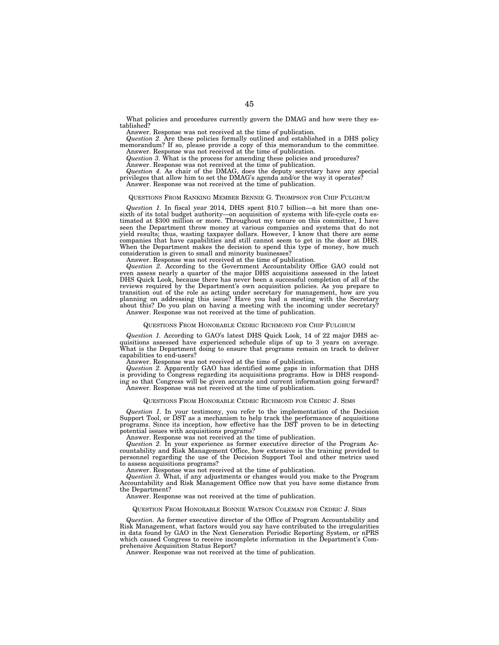What policies and procedures currently govern the DMAG and how were they established?

Answer. Response was not received at the time of publication.

*Question 2.* Are these policies formally outlined and established in a DHS policy memorandum? If so, please provide a copy of this memorandum to the committee. Answer. Response was not received at the time of publication.

*Question 3.* What is the process for amending these policies and procedures?

Answer. Response was not received at the time of publication.

*Question 4.* As chair of the DMAG, does the deputy secretary have any special privileges that allow him to set the DMAG's agenda and/or the way it operates?

Answer. Response was not received at the time of publication.

### QUESTIONS FROM RANKING MEMBER BENNIE G. THOMPSON FOR CHIP FULGHUM

*Question 1.* In fiscal year 2014, DHS spent \$10.7 billion—a bit more than onesixth of its total budget authority—on acquisition of systems with life-cycle costs estimated at \$300 million or more. Throughout my tenure on this committee, I have seen the Department throw money at various companies and systems that do not yield results; thus, wasting taxpayer dollars. However, I know that there are some companies that have capabilities and still cannot seem to get in the door at DHS. When the Department makes the decision to spend this type of money, how much consideration is given to small and minority businesses?

Answer. Response was not received at the time of publication.

*Question 2.* According to the Government Accountability Office GAO could not even assess nearly a quarter of the major DHS acquisitions assessed in the latest DHS Quick Look, because there has never been a successful completion of all of the reviews required by the Department's own acquisition policies. As you prepare to transition out of the role as acting under secretary for management, how are you planning on addressing this issue? Have you had a meeting with the Secretary about this? Do you plan on having a meeting with the incoming under secretary? Answer. Response was not received at the time of publication.

## QUESTIONS FROM HONORABLE CEDRIC RICHMOND FOR CHIP FULGHUM

*Question 1.* According to GAO's latest DHS Quick Look, 14 of 22 major DHS acquisitions assessed have experienced schedule slips of up to 3 years on average. What is the Department doing to ensure that programs remain on track to deliver capabilities to end-users?

Answer. Response was not received at the time of publication.

*Question 2.* Apparently GAO has identified some gaps in information that DHS is providing to Congress regarding its acquisitions programs. How is DHS responding so that Congress will be given accurate and current information going forward? Answer. Response was not received at the time of publication.

#### QUESTIONS FROM HONORABLE CEDRIC RICHMOND FOR CEDRIC J. SIMS

*Question 1.* In your testimony, you refer to the implementation of the Decision Support Tool, or DST as a mechanism to help track the performance of acquisitions programs. Since its inception, how effective has the DST proven to be in detecting potential issues with acquisitions programs?

Answer. Response was not received at the time of publication.

*Question 2.* In your experience as former executive director of the Program Accountability and Risk Management Office, how extensive is the training provided to personnel regarding the use of the Decision Support Tool and other metrics used to assess acquisitions programs?

Answer. Response was not received at the time of publication.

*Question 3.* What, if any adjustments or changes would you make to the Program Accountability and Risk Management Office now that you have some distance from the Department?

Answer. Response was not received at the time of publication.

#### QUESTION FROM HONORABLE BONNIE WATSON COLEMAN FOR CEDRIC J. SIMS

*Question.* As former executive director of the Office of Program Accountability and Risk Management, what factors would you say have contributed to the irregularities in data found by GAO in the Next Generation Periodic Reporting System, or nPRS which caused Congress to receive incomplete information in the Department's Comprehensive Acquisition Status Report?

Answer. Response was not received at the time of publication.